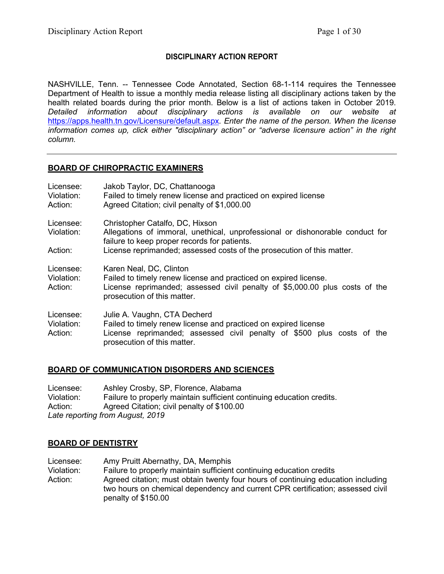# **DISCIPLINARY ACTION REPORT**

NASHVILLE, Tenn. -- Tennessee Code Annotated, Section 68-1-114 requires the Tennessee Department of Health to issue a monthly media release listing all disciplinary actions taken by the health related boards during the prior month. Below is a list of actions taken in October 2019. *Detailed information about disciplinary actions is available on our website at*  <https://apps.health.tn.gov/Licensure/default.aspx>*. Enter the name of the person. When the license information comes up, click either "disciplinary action" or "adverse licensure action" in the right column.*

# **BOARD OF CHIROPRACTIC EXAMINERS**

| Licensee:<br>Violation:<br>Action: | Jakob Taylor, DC, Chattanooga<br>Failed to timely renew license and practiced on expired license<br>Agreed Citation; civil penalty of \$1,000.00                                                          |
|------------------------------------|-----------------------------------------------------------------------------------------------------------------------------------------------------------------------------------------------------------|
| Licensee:<br>Violation:            | Christopher Catalfo, DC, Hixson<br>Allegations of immoral, unethical, unprofessional or dishonorable conduct for<br>failure to keep proper records for patients.                                          |
| Action:                            | License reprimanded; assessed costs of the prosecution of this matter.                                                                                                                                    |
| Licensee:<br>Violation:<br>Action: | Karen Neal, DC, Clinton<br>Failed to timely renew license and practiced on expired license.<br>License reprimanded; assessed civil penalty of \$5,000.00 plus costs of the<br>prosecution of this matter. |
| Licensee:<br>Violation:<br>Action: | Julie A. Vaughn, CTA Decherd<br>Failed to timely renew license and practiced on expired license<br>License reprimanded; assessed civil penalty of \$500 plus costs of the<br>prosecution of this matter.  |

# **BOARD OF COMMUNICATION DISORDERS AND SCIENCES**

Licensee: Ashley Crosby, SP, Florence, Alabama Violation: Failure to properly maintain sufficient continuing education credits. Action: Agreed Citation; civil penalty of \$100.00 *Late reporting from August, 2019*

# **BOARD OF DENTISTRY**

Licensee: Amy Pruitt Abernathy, DA, Memphis<br>Violation: Failure to properly maintain sufficien Failure to properly maintain sufficient continuing education credits Action: Agreed citation; must obtain twenty four hours of continuing education including two hours on chemical dependency and current CPR certification; assessed civil penalty of \$150.00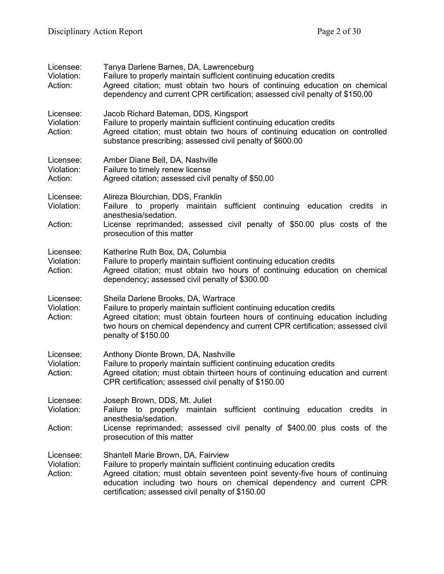| Licensee:<br>Violation:<br>Action: | Tanya Darlene Barnes, DA, Lawrenceburg<br>Failure to properly maintain sufficient continuing education credits<br>Agreed citation; must obtain two hours of continuing education on chemical<br>dependency and current CPR certification; assessed civil penalty of \$150.00                                             |
|------------------------------------|--------------------------------------------------------------------------------------------------------------------------------------------------------------------------------------------------------------------------------------------------------------------------------------------------------------------------|
| Licensee:<br>Violation:<br>Action: | Jacob Richard Bateman, DDS, Kingsport<br>Failure to properly maintain sufficient continuing education credits<br>Agreed citation; must obtain two hours of continuing education on controlled<br>substance prescribing; assessed civil penalty of \$600.00                                                               |
| Licensee:<br>Violation:<br>Action: | Amber Diane Bell, DA, Nashville<br>Failure to timely renew license<br>Agreed citation; assessed civil penalty of \$50.00                                                                                                                                                                                                 |
| Licensee:<br>Violation:<br>Action: | Alireza Blourchian, DDS, Franklin<br>Failure to properly maintain sufficient continuing education credits<br>- in<br>anesthesia/sedation.<br>License reprimanded; assessed civil penalty of \$50.00 plus costs of the<br>prosecution of this matter                                                                      |
| Licensee:<br>Violation:<br>Action: | Katherine Ruth Box, DA, Columbia<br>Failure to properly maintain sufficient continuing education credits<br>Agreed citation; must obtain two hours of continuing education on chemical<br>dependency; assessed civil penalty of \$300.00                                                                                 |
| Licensee:<br>Violation:<br>Action: | Sheila Darlene Brooks, DA, Wartrace<br>Failure to properly maintain sufficient continuing education credits<br>Agreed citation; must obtain fourteen hours of continuing education including<br>two hours on chemical dependency and current CPR certification; assessed civil<br>penalty of \$150.00                    |
| Licensee:<br>Violation:<br>Action: | Anthony Dionte Brown, DA, Nashville<br>Failure to properly maintain sufficient continuing education credits<br>Agreed citation; must obtain thirteen hours of continuing education and current<br>CPR certification; assessed civil penalty of \$150.00                                                                  |
| Licensee:<br>Violation:<br>Action: | Joseph Brown, DDS, Mt. Juliet<br>Failure to properly maintain sufficient continuing education credits<br>- in<br>anesthesia/sedation.<br>License reprimanded; assessed civil penalty of \$400.00 plus costs of the<br>prosecution of this matter                                                                         |
| Licensee:<br>Violation:<br>Action: | Shantell Marie Brown, DA, Fairview<br>Failure to properly maintain sufficient continuing education credits<br>Agreed citation; must obtain seventeen point seventy-five hours of continuing<br>education including two hours on chemical dependency and current CPR<br>certification; assessed civil penalty of \$150.00 |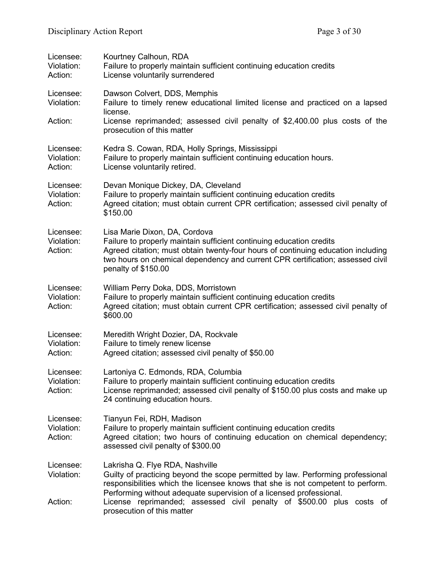| Licensee:<br>Violation:<br>Action: | Kourtney Calhoun, RDA<br>Failure to properly maintain sufficient continuing education credits<br>License voluntarily surrendered                                                                                                                                                                   |
|------------------------------------|----------------------------------------------------------------------------------------------------------------------------------------------------------------------------------------------------------------------------------------------------------------------------------------------------|
| Licensee:<br>Violation:            | Dawson Colvert, DDS, Memphis<br>Failure to timely renew educational limited license and practiced on a lapsed<br>license.                                                                                                                                                                          |
| Action:                            | License reprimanded; assessed civil penalty of \$2,400.00 plus costs of the<br>prosecution of this matter                                                                                                                                                                                          |
| Licensee:<br>Violation:<br>Action: | Kedra S. Cowan, RDA, Holly Springs, Mississippi<br>Failure to properly maintain sufficient continuing education hours.<br>License voluntarily retired.                                                                                                                                             |
| Licensee:<br>Violation:<br>Action: | Devan Monique Dickey, DA, Cleveland<br>Failure to properly maintain sufficient continuing education credits<br>Agreed citation; must obtain current CPR certification; assessed civil penalty of<br>\$150.00                                                                                       |
| Licensee:<br>Violation:<br>Action: | Lisa Marie Dixon, DA, Cordova<br>Failure to properly maintain sufficient continuing education credits<br>Agreed citation; must obtain twenty-four hours of continuing education including<br>two hours on chemical dependency and current CPR certification; assessed civil<br>penalty of \$150.00 |
| Licensee:<br>Violation:<br>Action: | William Perry Doka, DDS, Morristown<br>Failure to properly maintain sufficient continuing education credits<br>Agreed citation; must obtain current CPR certification; assessed civil penalty of<br>\$600.00                                                                                       |
| Licensee:<br>Violation:<br>Action: | Meredith Wright Dozier, DA, Rockvale<br>Failure to timely renew license<br>Agreed citation; assessed civil penalty of \$50.00                                                                                                                                                                      |
| Licensee:<br>Violation:<br>Action: | Lartoniya C. Edmonds, RDA, Columbia<br>Failure to properly maintain sufficient continuing education credits<br>License reprimanded; assessed civil penalty of \$150.00 plus costs and make up<br>24 continuing education hours.                                                                    |
| Licensee:<br>Violation:<br>Action: | Tianyun Fei, RDH, Madison<br>Failure to properly maintain sufficient continuing education credits<br>Agreed citation; two hours of continuing education on chemical dependency;<br>assessed civil penalty of \$300.00                                                                              |
| Licensee:<br>Violation:            | Lakrisha Q. Flye RDA, Nashville<br>Guilty of practicing beyond the scope permitted by law. Performing professional<br>responsibilities which the licensee knows that she is not competent to perform.<br>Performing without adequate supervision of a licensed professional.                       |
| Action:                            | License reprimanded; assessed civil penalty of \$500.00 plus costs of<br>prosecution of this matter                                                                                                                                                                                                |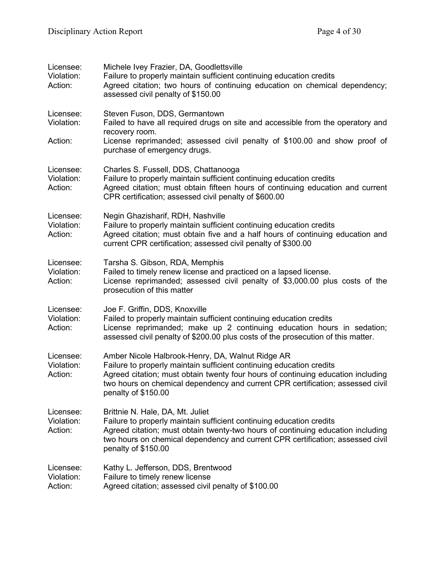| Licensee:<br>Violation:<br>Action: | Michele Ivey Frazier, DA, Goodlettsville<br>Failure to properly maintain sufficient continuing education credits<br>Agreed citation; two hours of continuing education on chemical dependency;<br>assessed civil penalty of \$150.00                                                                                  |
|------------------------------------|-----------------------------------------------------------------------------------------------------------------------------------------------------------------------------------------------------------------------------------------------------------------------------------------------------------------------|
| Licensee:<br>Violation:<br>Action: | Steven Fuson, DDS, Germantown<br>Failed to have all required drugs on site and accessible from the operatory and<br>recovery room.<br>License reprimanded; assessed civil penalty of \$100.00 and show proof of<br>purchase of emergency drugs.                                                                       |
| Licensee:<br>Violation:<br>Action: | Charles S. Fussell, DDS, Chattanooga<br>Failure to properly maintain sufficient continuing education credits<br>Agreed citation; must obtain fifteen hours of continuing education and current<br>CPR certification; assessed civil penalty of \$600.00                                                               |
| Licensee:<br>Violation:<br>Action: | Negin Ghazisharif, RDH, Nashville<br>Failure to properly maintain sufficient continuing education credits<br>Agreed citation; must obtain five and a half hours of continuing education and<br>current CPR certification; assessed civil penalty of \$300.00                                                          |
| Licensee:<br>Violation:<br>Action: | Tarsha S. Gibson, RDA, Memphis<br>Failed to timely renew license and practiced on a lapsed license.<br>License reprimanded; assessed civil penalty of \$3,000.00 plus costs of the<br>prosecution of this matter                                                                                                      |
| Licensee:<br>Violation:<br>Action: | Joe F. Griffin, DDS, Knoxville<br>Failed to properly maintain sufficient continuing education credits<br>License reprimanded; make up 2 continuing education hours in sedation;<br>assessed civil penalty of \$200.00 plus costs of the prosecution of this matter.                                                   |
| Licensee:<br>Violation:<br>Action: | Amber Nicole Halbrook-Henry, DA, Walnut Ridge AR<br>Failure to properly maintain sufficient continuing education credits<br>Agreed citation; must obtain twenty four hours of continuing education including<br>two hours on chemical dependency and current CPR certification; assessed civil<br>penalty of \$150.00 |
| Licensee:<br>Violation:<br>Action: | Brittnie N. Hale, DA, Mt. Juliet<br>Failure to properly maintain sufficient continuing education credits<br>Agreed citation; must obtain twenty-two hours of continuing education including<br>two hours on chemical dependency and current CPR certification; assessed civil<br>penalty of \$150.00                  |
| Licensee:<br>Violation:<br>Action: | Kathy L. Jefferson, DDS, Brentwood<br>Failure to timely renew license<br>Agreed citation; assessed civil penalty of \$100.00                                                                                                                                                                                          |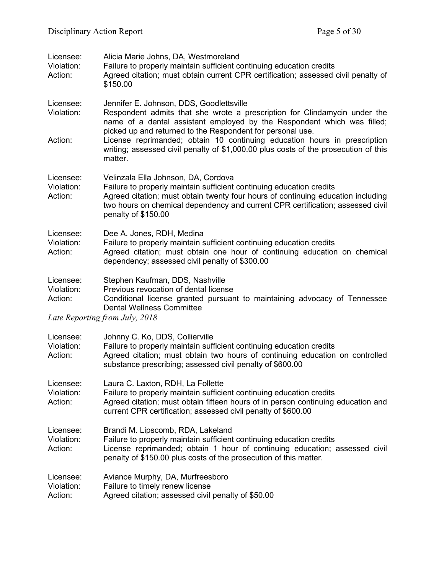| Licensee:<br>Violation:<br>Action: | Alicia Marie Johns, DA, Westmoreland<br>Failure to properly maintain sufficient continuing education credits<br>Agreed citation; must obtain current CPR certification; assessed civil penalty of<br>\$150.00                                                                                                                               |
|------------------------------------|---------------------------------------------------------------------------------------------------------------------------------------------------------------------------------------------------------------------------------------------------------------------------------------------------------------------------------------------|
| Licensee:<br>Violation:<br>Action: | Jennifer E. Johnson, DDS, Goodlettsville<br>Respondent admits that she wrote a prescription for Clindamycin under the<br>name of a dental assistant employed by the Respondent which was filled;<br>picked up and returned to the Respondent for personal use.<br>License reprimanded; obtain 10 continuing education hours in prescription |
|                                    | writing; assessed civil penalty of \$1,000.00 plus costs of the prosecution of this<br>matter.                                                                                                                                                                                                                                              |
| Licensee:<br>Violation:<br>Action: | Velinzala Ella Johnson, DA, Cordova<br>Failure to properly maintain sufficient continuing education credits<br>Agreed citation; must obtain twenty four hours of continuing education including<br>two hours on chemical dependency and current CPR certification; assessed civil<br>penalty of \$150.00                                    |
| Licensee:<br>Violation:<br>Action: | Dee A. Jones, RDH, Medina<br>Failure to properly maintain sufficient continuing education credits<br>Agreed citation; must obtain one hour of continuing education on chemical<br>dependency; assessed civil penalty of \$300.00                                                                                                            |
| Licensee:<br>Violation:<br>Action: | Stephen Kaufman, DDS, Nashville<br>Previous revocation of dental license<br>Conditional license granted pursuant to maintaining advocacy of Tennessee<br><b>Dental Wellness Committee</b><br>Late Reporting from July, 2018                                                                                                                 |
|                                    |                                                                                                                                                                                                                                                                                                                                             |
| Licensee:<br>Violation:<br>Action: | Johnny C. Ko, DDS, Collierville<br>Failure to properly maintain sufficient continuing education credits<br>Agreed citation; must obtain two hours of continuing education on controlled<br>substance prescribing; assessed civil penalty of \$600.00                                                                                        |
| Licensee:<br>Violation:<br>Action: | Laura C. Laxton, RDH, La Follette<br>Failure to properly maintain sufficient continuing education credits<br>Agreed citation; must obtain fifteen hours of in person continuing education and<br>current CPR certification; assessed civil penalty of \$600.00                                                                              |
| Licensee:<br>Violation:<br>Action: | Brandi M. Lipscomb, RDA, Lakeland<br>Failure to properly maintain sufficient continuing education credits<br>License reprimanded; obtain 1 hour of continuing education; assessed civil<br>penalty of \$150.00 plus costs of the prosecution of this matter.                                                                                |
| Licensee:<br>Violation:<br>Action: | Aviance Murphy, DA, Murfreesboro<br>Failure to timely renew license<br>Agreed citation; assessed civil penalty of \$50.00                                                                                                                                                                                                                   |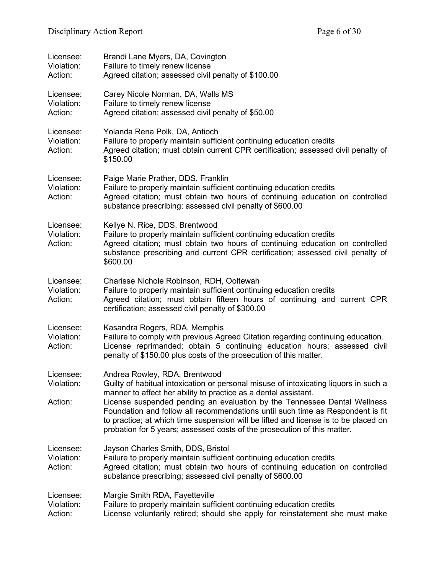| Licensee:<br>Violation:<br>Action: | Brandi Lane Myers, DA, Covington<br>Failure to timely renew license<br>Agreed citation; assessed civil penalty of \$100.00                                                                                                                                                                                                                                                                                                                                                                                                |
|------------------------------------|---------------------------------------------------------------------------------------------------------------------------------------------------------------------------------------------------------------------------------------------------------------------------------------------------------------------------------------------------------------------------------------------------------------------------------------------------------------------------------------------------------------------------|
| Licensee:<br>Violation:<br>Action: | Carey Nicole Norman, DA, Walls MS<br>Failure to timely renew license<br>Agreed citation; assessed civil penalty of \$50.00                                                                                                                                                                                                                                                                                                                                                                                                |
| Licensee:<br>Violation:<br>Action: | Yolanda Rena Polk, DA, Antioch<br>Failure to properly maintain sufficient continuing education credits<br>Agreed citation; must obtain current CPR certification; assessed civil penalty of<br>\$150.00                                                                                                                                                                                                                                                                                                                   |
| Licensee:<br>Violation:<br>Action: | Paige Marie Prather, DDS, Franklin<br>Failure to properly maintain sufficient continuing education credits<br>Agreed citation; must obtain two hours of continuing education on controlled<br>substance prescribing; assessed civil penalty of \$600.00                                                                                                                                                                                                                                                                   |
| Licensee:<br>Violation:<br>Action: | Kellye N. Rice, DDS, Brentwood<br>Failure to properly maintain sufficient continuing education credits<br>Agreed citation; must obtain two hours of continuing education on controlled<br>substance prescribing and current CPR certification; assessed civil penalty of<br>\$600.00                                                                                                                                                                                                                                      |
| Licensee:<br>Violation:<br>Action: | Charisse Nichole Robinson, RDH, Ooltewah<br>Failure to properly maintain sufficient continuing education credits<br>Agreed citation; must obtain fifteen hours of continuing and current CPR<br>certification; assessed civil penalty of \$300.00                                                                                                                                                                                                                                                                         |
| Licensee:<br>Violation:<br>Action: | Kasandra Rogers, RDA, Memphis<br>Failure to comply with previous Agreed Citation regarding continuing education.<br>License reprimanded; obtain 5 continuing education hours; assessed civil<br>penalty of \$150.00 plus costs of the prosecution of this matter.                                                                                                                                                                                                                                                         |
| Licensee:<br>Violation:<br>Action: | Andrea Rowley, RDA, Brentwood<br>Guilty of habitual intoxication or personal misuse of intoxicating liquors in such a<br>manner to affect her ability to practice as a dental assistant.<br>License suspended pending an evaluation by the Tennessee Dental Wellness<br>Foundation and follow all recommendations until such time as Respondent is fit<br>to practice; at which time suspension will be lifted and license is to be placed on<br>probation for 5 years; assessed costs of the prosecution of this matter. |
| Licensee:<br>Violation:<br>Action: | Jayson Charles Smith, DDS, Bristol<br>Failure to properly maintain sufficient continuing education credits<br>Agreed citation; must obtain two hours of continuing education on controlled<br>substance prescribing; assessed civil penalty of \$600.00                                                                                                                                                                                                                                                                   |
| Licensee:<br>Violation:<br>Action: | Margie Smith RDA, Fayetteville<br>Failure to properly maintain sufficient continuing education credits<br>License voluntarily retired; should she apply for reinstatement she must make                                                                                                                                                                                                                                                                                                                                   |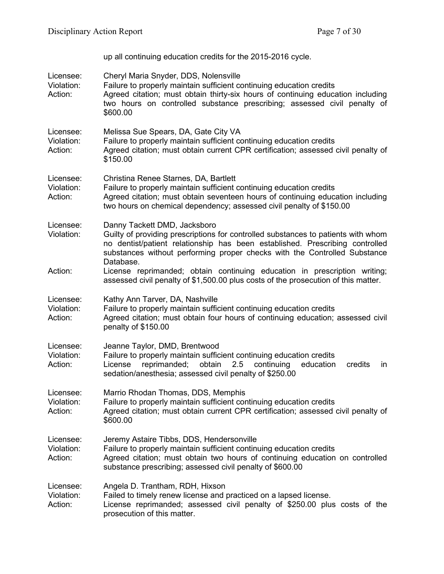up all continuing education credits for the 2015-2016 cycle.

| Licensee:<br>Violation:<br>Action: | Cheryl Maria Snyder, DDS, Nolensville<br>Failure to properly maintain sufficient continuing education credits<br>Agreed citation; must obtain thirty-six hours of continuing education including<br>two hours on controlled substance prescribing; assessed civil penalty of<br>\$600.00    |
|------------------------------------|---------------------------------------------------------------------------------------------------------------------------------------------------------------------------------------------------------------------------------------------------------------------------------------------|
| Licensee:<br>Violation:<br>Action: | Melissa Sue Spears, DA, Gate City VA<br>Failure to properly maintain sufficient continuing education credits<br>Agreed citation; must obtain current CPR certification; assessed civil penalty of<br>\$150.00                                                                               |
| Licensee:<br>Violation:<br>Action: | Christina Renee Starnes, DA, Bartlett<br>Failure to properly maintain sufficient continuing education credits<br>Agreed citation; must obtain seventeen hours of continuing education including<br>two hours on chemical dependency; assessed civil penalty of \$150.00                     |
| Licensee:<br>Violation:            | Danny Tackett DMD, Jacksboro<br>Guilty of providing prescriptions for controlled substances to patients with whom<br>no dentist/patient relationship has been established. Prescribing controlled<br>substances without performing proper checks with the Controlled Substance<br>Database. |
| Action:                            | License reprimanded; obtain continuing education in prescription writing;<br>assessed civil penalty of \$1,500.00 plus costs of the prosecution of this matter.                                                                                                                             |
| Licensee:<br>Violation:<br>Action: | Kathy Ann Tarver, DA, Nashville<br>Failure to properly maintain sufficient continuing education credits<br>Agreed citation; must obtain four hours of continuing education; assessed civil<br>penalty of \$150.00                                                                           |
| Licensee:<br>Violation:<br>Action: | Jeanne Taylor, DMD, Brentwood<br>Failure to properly maintain sufficient continuing education credits<br>obtain<br>reprimanded;<br>2.5<br>continuing<br>education<br>License<br>credits<br>in<br>sedation/anesthesia; assessed civil penalty of \$250.00                                    |
| Licensee:<br>Violation:<br>Action: | Marrio Rhodan Thomas, DDS, Memphis<br>Failure to properly maintain sufficient continuing education credits<br>Agreed citation; must obtain current CPR certification; assessed civil penalty of<br>\$600.00                                                                                 |
| Licensee:<br>Violation:<br>Action: | Jeremy Astaire Tibbs, DDS, Hendersonville<br>Failure to properly maintain sufficient continuing education credits<br>Agreed citation; must obtain two hours of continuing education on controlled<br>substance prescribing; assessed civil penalty of \$600.00                              |
| Licensee:<br>Violation:<br>Action: | Angela D. Trantham, RDH, Hixson<br>Failed to timely renew license and practiced on a lapsed license.<br>License reprimanded; assessed civil penalty of \$250.00 plus costs of the<br>prosecution of this matter.                                                                            |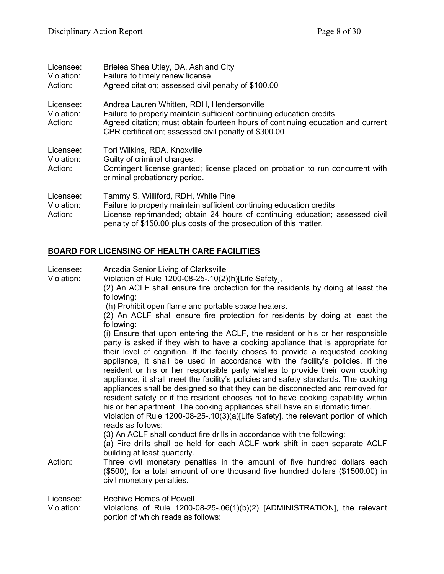| Licensee:<br>Violation:<br>Action: | Brielea Shea Utley, DA, Ashland City<br>Failure to timely renew license<br>Agreed citation; assessed civil penalty of \$100.00                                                                                                                                   |
|------------------------------------|------------------------------------------------------------------------------------------------------------------------------------------------------------------------------------------------------------------------------------------------------------------|
| Licensee:<br>Violation:<br>Action: | Andrea Lauren Whitten, RDH, Hendersonville<br>Failure to properly maintain sufficient continuing education credits<br>Agreed citation; must obtain fourteen hours of continuing education and current<br>CPR certification; assessed civil penalty of \$300.00   |
| Licensee:<br>Violation:<br>Action: | Tori Wilkins, RDA, Knoxville<br>Guilty of criminal charges.<br>Contingent license granted; license placed on probation to run concurrent with<br>criminal probationary period.                                                                                   |
| Licensee:<br>Violation:<br>Action: | Tammy S. Williford, RDH, White Pine<br>Failure to properly maintain sufficient continuing education credits<br>License reprimanded; obtain 24 hours of continuing education; assessed civil<br>penalty of \$150.00 plus costs of the prosecution of this matter. |

# **BOARD FOR LICENSING OF HEALTH CARE FACILITIES**

| Licensee:  | Arcadia Senior Living of Clarksville                                                                                                                                                                                                                 |
|------------|------------------------------------------------------------------------------------------------------------------------------------------------------------------------------------------------------------------------------------------------------|
| Violation: | Violation of Rule 1200-08-25-.10(2)(h)[Life Safety],                                                                                                                                                                                                 |
|            | (2) An ACLF shall ensure fire protection for the residents by doing at least the<br>following:                                                                                                                                                       |
|            | (h) Prohibit open flame and portable space heaters.                                                                                                                                                                                                  |
|            | (2) An ACLF shall ensure fire protection for residents by doing at least the<br>following:                                                                                                                                                           |
|            | (i) Ensure that upon entering the ACLF, the resident or his or her responsible                                                                                                                                                                       |
|            | party is asked if they wish to have a cooking appliance that is appropriate for<br>their level of cognition. If the facility choses to provide a requested cooking<br>appliance, it shall be used in accordance with the facility's policies. If the |
|            | resident or his or her responsible party wishes to provide their own cooking<br>appliance, it shall meet the facility's policies and safety standards. The cooking                                                                                   |
|            | appliances shall be designed so that they can be disconnected and removed for<br>resident safety or if the resident chooses not to have cooking capability within                                                                                    |
|            | his or her apartment. The cooking appliances shall have an automatic timer.<br>Violation of Rule 1200-08-25-.10(3)(a)[Life Safety], the relevant portion of which                                                                                    |
|            | reads as follows:                                                                                                                                                                                                                                    |
|            | (3) An ACLF shall conduct fire drills in accordance with the following:                                                                                                                                                                              |
|            | (a) Fire drills shall be held for each ACLF work shift in each separate ACLF<br>building at least quarterly.                                                                                                                                         |
| Action:    | Three civil monetary penalties in the amount of five hundred dollars each<br>(\$500), for a total amount of one thousand five hundred dollars (\$1500.00) in                                                                                         |
|            | civil monetary penalties.                                                                                                                                                                                                                            |
| Licensee:  | <b>Beehive Homes of Powell</b>                                                                                                                                                                                                                       |
| Violation: | Violations of Rule 1200-08-25-.06(1)(b)(2) [ADMINISTRATION], the relevant<br>portion of which reads as follows:                                                                                                                                      |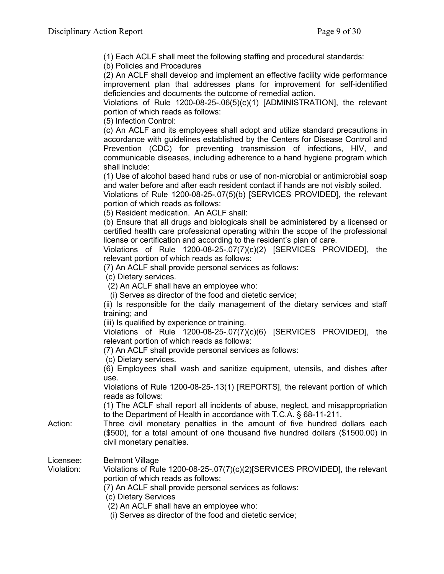(1) Each ACLF shall meet the following staffing and procedural standards:

(b) Policies and Procedures

(2) An ACLF shall develop and implement an effective facility wide performance improvement plan that addresses plans for improvement for self-identified deficiencies and documents the outcome of remedial action.

Violations of Rule 1200-08-25-.06(5)(c)(1) [ADMINISTRATION], the relevant portion of which reads as follows:

(5) Infection Control:

(c) An ACLF and its employees shall adopt and utilize standard precautions in accordance with guidelines established by the Centers for Disease Control and Prevention (CDC) for preventing transmission of infections, HIV, and communicable diseases, including adherence to a hand hygiene program which shall include:

(1) Use of alcohol based hand rubs or use of non-microbial or antimicrobial soap and water before and after each resident contact if hands are not visibly soiled.

Violations of Rule 1200-08-25-.07(5)(b) [SERVICES PROVIDED], the relevant portion of which reads as follows:

(5) Resident medication. An ACLF shall:

(b) Ensure that all drugs and biologicals shall be administered by a licensed or certified health care professional operating within the scope of the professional license or certification and according to the resident's plan of care.

Violations of Rule 1200-08-25-.07(7)(c)(2) [SERVICES PROVIDED], the relevant portion of which reads as follows:

(7) An ACLF shall provide personal services as follows:

(c) Dietary services.

(2) An ACLF shall have an employee who:

(i) Serves as director of the food and dietetic service;

(ii) Is responsible for the daily management of the dietary services and staff training; and

(iii) Is qualified by experience or training.

Violations of Rule 1200-08-25-.07(7)(c)(6) [SERVICES PROVIDED], the relevant portion of which reads as follows:

(7) An ACLF shall provide personal services as follows:

(c) Dietary services.

(6) Employees shall wash and sanitize equipment, utensils, and dishes after use.

Violations of Rule 1200-08-25-.13(1) [REPORTS], the relevant portion of which reads as follows:

(1) The ACLF shall report all incidents of abuse, neglect, and misappropriation to the Department of Health in accordance with T.C.A. § 68-11-211.

Action: Three civil monetary penalties in the amount of five hundred dollars each (\$500), for a total amount of one thousand five hundred dollars (\$1500.00) in civil monetary penalties.

Licensee: Belmont Village

Violation: Violations of Rule 1200-08-25-.07(7)(c)(2)[SERVICES PROVIDED], the relevant portion of which reads as follows:

(7) An ACLF shall provide personal services as follows:

(c) Dietary Services

(2) An ACLF shall have an employee who:

(i) Serves as director of the food and dietetic service;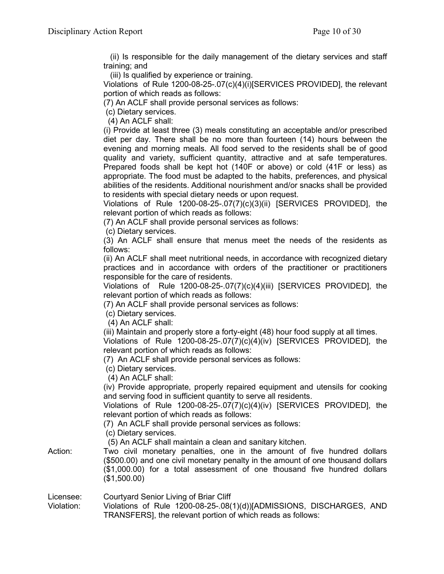(ii) Is responsible for the daily management of the dietary services and staff training; and

(iii) Is qualified by experience or training.

Violations of Rule 1200-08-25-.07(c)(4)(i)[SERVICES PROVIDED], the relevant portion of which reads as follows:

(7) An ACLF shall provide personal services as follows:

(c) Dietary services.

(4) An ACLF shall:

(i) Provide at least three (3) meals constituting an acceptable and/or prescribed diet per day. There shall be no more than fourteen (14) hours between the evening and morning meals. All food served to the residents shall be of good quality and variety, sufficient quantity, attractive and at safe temperatures. Prepared foods shall be kept hot (140F or above) or cold (41F or less) as appropriate. The food must be adapted to the habits, preferences, and physical abilities of the residents. Additional nourishment and/or snacks shall be provided to residents with special dietary needs or upon request.

Violations of Rule 1200-08-25-.07(7)(c)(3)(ii) [SERVICES PROVIDED], the relevant portion of which reads as follows:

(7) An ACLF shall provide personal services as follows:

(c) Dietary services.

(3) An ACLF shall ensure that menus meet the needs of the residents as follows:

(ii) An ACLF shall meet nutritional needs, in accordance with recognized dietary practices and in accordance with orders of the practitioner or practitioners responsible for the care of residents.

Violations of Rule 1200-08-25-.07(7)(c)(4)(iii) [SERVICES PROVIDED], the relevant portion of which reads as follows:

(7) An ACLF shall provide personal services as follows:

(c) Dietary services.

(4) An ACLF shall:

(iii) Maintain and properly store a forty-eight (48) hour food supply at all times. Violations of Rule 1200-08-25-.07(7)(c)(4)(iv) [SERVICES PROVIDED], the relevant portion of which reads as follows:

(7) An ACLF shall provide personal services as follows:

(c) Dietary services.

(4) An ACLF shall:

(iv) Provide appropriate, properly repaired equipment and utensils for cooking and serving food in sufficient quantity to serve all residents.

Violations of Rule 1200-08-25-.07(7)(c)(4)(iv) [SERVICES PROVIDED], the relevant portion of which reads as follows:

(7) An ACLF shall provide personal services as follows:

(c) Dietary services.

(5) An ACLF shall maintain a clean and sanitary kitchen.

Action: Two civil monetary penalties, one in the amount of five hundred dollars (\$500.00) and one civil monetary penalty in the amount of one thousand dollars (\$1,000.00) for a total assessment of one thousand five hundred dollars (\$1,500.00)

Licensee: Courtyard Senior Living of Briar Cliff

Violation: Violations of Rule 1200-08-25-.08(1)(d))[ADMISSIONS, DISCHARGES, AND TRANSFERS], the relevant portion of which reads as follows: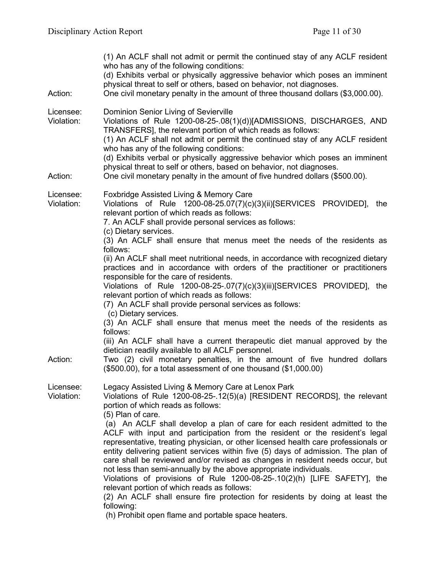| Action:                 | (1) An ACLF shall not admit or permit the continued stay of any ACLF resident<br>who has any of the following conditions:<br>(d) Exhibits verbal or physically aggressive behavior which poses an imminent<br>physical threat to self or others, based on behavior, not diagnoses.<br>One civil monetary penalty in the amount of three thousand dollars (\$3,000.00).                                                                                                                     |
|-------------------------|--------------------------------------------------------------------------------------------------------------------------------------------------------------------------------------------------------------------------------------------------------------------------------------------------------------------------------------------------------------------------------------------------------------------------------------------------------------------------------------------|
| Licensee:<br>Violation: | Dominion Senior Living of Sevierville<br>Violations of Rule 1200-08-25-.08(1)(d))[ADMISSIONS, DISCHARGES, AND<br>TRANSFERS], the relevant portion of which reads as follows:<br>(1) An ACLF shall not admit or permit the continued stay of any ACLF resident<br>who has any of the following conditions:<br>(d) Exhibits verbal or physically aggressive behavior which poses an imminent<br>physical threat to self or others, based on behavior, not diagnoses.                         |
| Action:                 | One civil monetary penalty in the amount of five hundred dollars (\$500.00).                                                                                                                                                                                                                                                                                                                                                                                                               |
| Licensee:<br>Violation: | <b>Foxbridge Assisted Living &amp; Memory Care</b><br>Violations of Rule 1200-08-25.07(7)(c)(3)(ii)[SERVICES PROVIDED],<br>the<br>relevant portion of which reads as follows:<br>7. An ACLF shall provide personal services as follows:<br>(c) Dietary services.                                                                                                                                                                                                                           |
|                         | (3) An ACLF shall ensure that menus meet the needs of the residents as<br>follows:<br>(ii) An ACLF shall meet nutritional needs, in accordance with recognized dietary                                                                                                                                                                                                                                                                                                                     |
|                         | practices and in accordance with orders of the practitioner or practitioners<br>responsible for the care of residents.                                                                                                                                                                                                                                                                                                                                                                     |
|                         | Violations of Rule 1200-08-25-.07(7)(c)(3)(iii)[SERVICES PROVIDED], the<br>relevant portion of which reads as follows:                                                                                                                                                                                                                                                                                                                                                                     |
|                         | (7) An ACLF shall provide personal services as follows:<br>(c) Dietary services.                                                                                                                                                                                                                                                                                                                                                                                                           |
|                         | (3) An ACLF shall ensure that menus meet the needs of the residents as<br>follows:                                                                                                                                                                                                                                                                                                                                                                                                         |
|                         | (iii) An ACLF shall have a current therapeutic diet manual approved by the<br>dietician readily available to all ACLF personnel.                                                                                                                                                                                                                                                                                                                                                           |
| Action:                 | Two (2) civil monetary penalties, in the amount of five hundred dollars<br>$($500.00)$ , for a total assessment of one thousand $($1,000.00)$                                                                                                                                                                                                                                                                                                                                              |
| Licensee:<br>Violation: | Legacy Assisted Living & Memory Care at Lenox Park<br>Violations of Rule 1200-08-25-.12(5)(a) [RESIDENT RECORDS], the relevant<br>portion of which reads as follows:<br>(5) Plan of care.                                                                                                                                                                                                                                                                                                  |
|                         | (a) An ACLF shall develop a plan of care for each resident admitted to the<br>ACLF with input and participation from the resident or the resident's legal<br>representative, treating physician, or other licensed health care professionals or<br>entity delivering patient services within five (5) days of admission. The plan of<br>care shall be reviewed and/or revised as changes in resident needs occur, but<br>not less than semi-annually by the above appropriate individuals. |
|                         | Violations of provisions of Rule $1200-08-25-10(2)(h)$ [LIFE SAFETY], the<br>relevant portion of which reads as follows:                                                                                                                                                                                                                                                                                                                                                                   |
|                         | (2) An ACLF shall ensure fire protection for residents by doing at least the<br>following:                                                                                                                                                                                                                                                                                                                                                                                                 |
|                         | (h) Prohibit open flame and portable space heaters.                                                                                                                                                                                                                                                                                                                                                                                                                                        |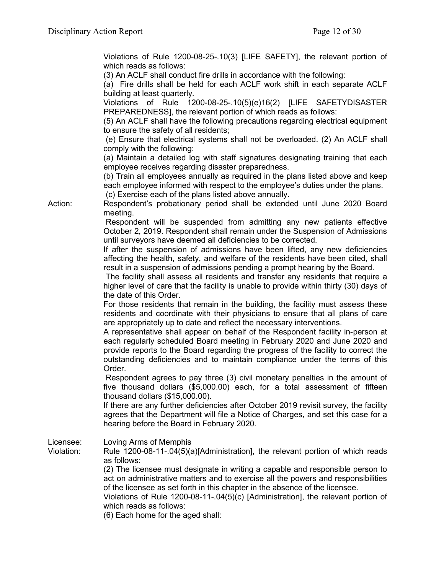Violations of Rule 1200-08-25-.10(3) [LIFE SAFETY], the relevant portion of which reads as follows:

(3) An ACLF shall conduct fire drills in accordance with the following:

(a) Fire drills shall be held for each ACLF work shift in each separate ACLF building at least quarterly.

Violations of Rule 1200-08-25-.10(5)(e)16(2) [LIFE SAFETYDISASTER PREPAREDNESS], the relevant portion of which reads as follows:

(5) An ACLF shall have the following precautions regarding electrical equipment to ensure the safety of all residents;

(e) Ensure that electrical systems shall not be overloaded. (2) An ACLF shall comply with the following:

(a) Maintain a detailed log with staff signatures designating training that each employee receives regarding disaster preparedness.

(b) Train all employees annually as required in the plans listed above and keep each employee informed with respect to the employee's duties under the plans.

(c) Exercise each of the plans listed above annually.

Action: Respondent's probationary period shall be extended until June 2020 Board meeting.

Respondent will be suspended from admitting any new patients effective October 2, 2019. Respondent shall remain under the Suspension of Admissions until surveyors have deemed all deficiencies to be corrected.

If after the suspension of admissions have been lifted, any new deficiencies affecting the health, safety, and welfare of the residents have been cited, shall result in a suspension of admissions pending a prompt hearing by the Board.

The facility shall assess all residents and transfer any residents that require a higher level of care that the facility is unable to provide within thirty (30) days of the date of this Order.

For those residents that remain in the building, the facility must assess these residents and coordinate with their physicians to ensure that all plans of care are appropriately up to date and reflect the necessary interventions.

A representative shall appear on behalf of the Respondent facility in-person at each regularly scheduled Board meeting in February 2020 and June 2020 and provide reports to the Board regarding the progress of the facility to correct the outstanding deficiencies and to maintain compliance under the terms of this Order.

Respondent agrees to pay three (3) civil monetary penalties in the amount of five thousand dollars (\$5,000.00) each, for a total assessment of fifteen thousand dollars (\$15,000.00).

If there are any further deficiencies after October 2019 revisit survey, the facility agrees that the Department will file a Notice of Charges, and set this case for a hearing before the Board in February 2020.

Licensee: Loving Arms of Memphis

Violation: Rule 1200-08-11-.04(5)(a)[Administration], the relevant portion of which reads as follows:

(2) The licensee must designate in writing a capable and responsible person to act on administrative matters and to exercise all the powers and responsibilities of the licensee as set forth in this chapter in the absence of the licensee.

Violations of Rule 1200-08-11-.04(5)(c) [Administration], the relevant portion of which reads as follows:

(6) Each home for the aged shall: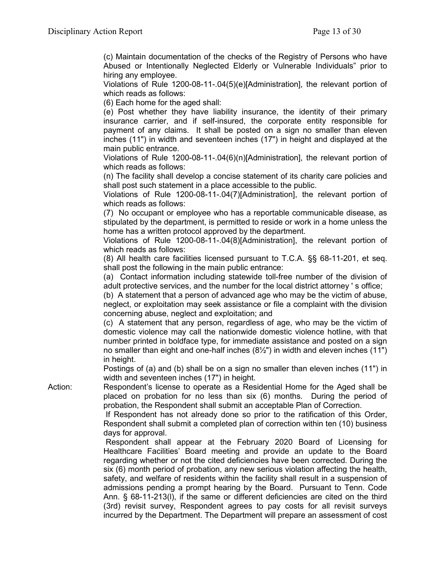(c) Maintain documentation of the checks of the Registry of Persons who have Abused or Intentionally Neglected Elderly or Vulnerable Individuals" prior to hiring any employee.

Violations of Rule 1200-08-11-.04(5)(e)[Administration], the relevant portion of which reads as follows:

(6) Each home for the aged shall:

(e) Post whether they have liability insurance, the identity of their primary insurance carrier, and if self-insured, the corporate entity responsible for payment of any claims. It shall be posted on a sign no smaller than eleven inches (11") in width and seventeen inches (17") in height and displayed at the main public entrance.

Violations of Rule 1200-08-11-.04(6)(n)[Administration], the relevant portion of which reads as follows:

(n) The facility shall develop a concise statement of its charity care policies and shall post such statement in a place accessible to the public.

Violations of Rule 1200-08-11-.04(7)[Administration], the relevant portion of which reads as follows:

(7) No occupant or employee who has a reportable communicable disease, as stipulated by the department, is permitted to reside or work in a home unless the home has a written protocol approved by the department.

Violations of Rule 1200-08-11-.04(8)[Administration], the relevant portion of which reads as follows:

(8) All health care facilities licensed pursuant to T.C.A. §§ 68-11-201, et seq. shall post the following in the main public entrance:

(a) Contact information including statewide toll-free number of the division of adult protective services, and the number for the local district attorney ' s office;

(b) A statement that a person of advanced age who may be the victim of abuse, neglect, or exploitation may seek assistance or file a complaint with the division concerning abuse, neglect and exploitation; and

(c) A statement that any person, regardless of age, who may be the victim of domestic violence may call the nationwide domestic violence hotline, with that number printed in boldface type, for immediate assistance and posted on a sign no smaller than eight and one-half inches (8½") in width and eleven inches (11") in height.

Postings of (a) and (b) shall be on a sign no smaller than eleven inches (11") in width and seventeen inches (17") in height.

Action: Respondent's license to operate as a Residential Home for the Aged shall be placed on probation for no less than six (6) months. During the period of probation, the Respondent shall submit an acceptable Plan of Correction.

If Respondent has not already done so prior to the ratification of this Order, Respondent shall submit a completed plan of correction within ten (10) business days for approval.

Respondent shall appear at the February 2020 Board of Licensing for Healthcare Facilities' Board meeting and provide an update to the Board regarding whether or not the cited deficiencies have been corrected. During the six (6) month period of probation, any new serious violation affecting the health, safety, and welfare of residents within the facility shall result in a suspension of admissions pending a prompt hearing by the Board. Pursuant to Tenn. Code Ann. § 68-11-213(l), if the same or different deficiencies are cited on the third (3rd) revisit survey, Respondent agrees to pay costs for all revisit surveys incurred by the Department. The Department will prepare an assessment of cost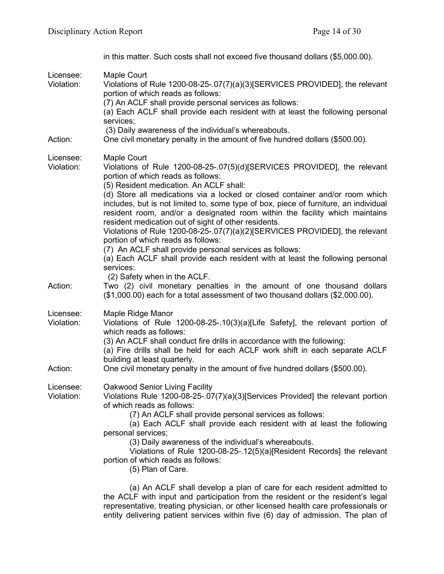|                         | in this matter. Such costs shall not exceed five thousand dollars (\$5,000.00).                                                                                                                                                                                                                                                                                                                                                                                                                                                                                                                                                                                                                                                                                        |
|-------------------------|------------------------------------------------------------------------------------------------------------------------------------------------------------------------------------------------------------------------------------------------------------------------------------------------------------------------------------------------------------------------------------------------------------------------------------------------------------------------------------------------------------------------------------------------------------------------------------------------------------------------------------------------------------------------------------------------------------------------------------------------------------------------|
| Licensee:<br>Violation: | Maple Court<br>Violations of Rule 1200-08-25-.07(7)(a)(3)[SERVICES PROVIDED], the relevant<br>portion of which reads as follows:<br>(7) An ACLF shall provide personal services as follows:<br>(a) Each ACLF shall provide each resident with at least the following personal<br>services;<br>(3) Daily awareness of the individual's whereabouts.                                                                                                                                                                                                                                                                                                                                                                                                                     |
| Action:                 | One civil monetary penalty in the amount of five hundred dollars (\$500.00).                                                                                                                                                                                                                                                                                                                                                                                                                                                                                                                                                                                                                                                                                           |
| Licensee:<br>Violation: | Maple Court<br>Violations of Rule 1200-08-25-.07(5)(d)[SERVICES PROVIDED], the relevant<br>portion of which reads as follows:<br>(5) Resident medication. An ACLF shall:<br>(d) Store all medications via a locked or closed container and/or room which<br>includes, but is not limited to, some type of box, piece of furniture, an individual<br>resident room, and/or a designated room within the facility which maintains<br>resident medication out of sight of other residents.<br>Violations of Rule 1200-08-25-.07(7)(a)(2)[SERVICES PROVIDED], the relevant<br>portion of which reads as follows:<br>(7) An ACLF shall provide personal services as follows:<br>(a) Each ACLF shall provide each resident with at least the following personal<br>services: |
| Action:                 | (2) Safety when in the ACLF.<br>Two (2) civil monetary penalties in the amount of one thousand dollars<br>(\$1,000.00) each for a total assessment of two thousand dollars (\$2,000.00).                                                                                                                                                                                                                                                                                                                                                                                                                                                                                                                                                                               |
| Licensee:<br>Violation: | Maple Ridge Manor<br>Violations of Rule 1200-08-25-.10(3)(a)[Life Safety], the relevant portion of<br>which reads as follows:<br>(3) An ACLF shall conduct fire drills in accordance with the following:<br>(a) Fire drills shall be held for each ACLF work shift in each separate ACLF<br>building at least quarterly.                                                                                                                                                                                                                                                                                                                                                                                                                                               |
| Action:                 | One civil monetary penalty in the amount of five hundred dollars (\$500.00).                                                                                                                                                                                                                                                                                                                                                                                                                                                                                                                                                                                                                                                                                           |
| Licensee:<br>Violation: | <b>Oakwood Senior Living Facility</b><br>Violations Rule 1200-08-25-.07(7)(a)(3)[Services Provided] the relevant portion<br>of which reads as follows:<br>(7) An ACLF shall provide personal services as follows:<br>(a) Each ACLF shall provide each resident with at least the following<br>personal services;<br>(3) Daily awareness of the individual's whereabouts.<br>Violations of Rule 1200-08-25-.12(5)(a)[Resident Records] the relevant<br>portion of which reads as follows:<br>(5) Plan of Care.                                                                                                                                                                                                                                                          |
|                         | (a) An ACLF shall develop a plan of care for each resident admitted to<br>the ACLE with input and participation from the resident or the resident's legal                                                                                                                                                                                                                                                                                                                                                                                                                                                                                                                                                                                                              |

the ACLF with input and participation from the resident or the resident's legal representative, treating physician, or other licensed health care professionals or entity delivering patient services within five (6) day of admission. The plan of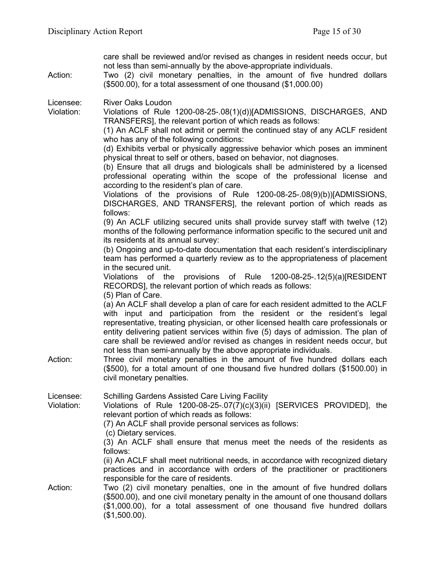| Action:                 | care shall be reviewed and/or revised as changes in resident needs occur, but<br>not less than semi-annually by the above-appropriate individuals.<br>Two (2) civil monetary penalties, in the amount of five hundred dollars<br>(\$500.00), for a total assessment of one thousand (\$1,000.00)                                                                                                                                                                                                                                                                                                                                                                                                                                                                                                                 |
|-------------------------|------------------------------------------------------------------------------------------------------------------------------------------------------------------------------------------------------------------------------------------------------------------------------------------------------------------------------------------------------------------------------------------------------------------------------------------------------------------------------------------------------------------------------------------------------------------------------------------------------------------------------------------------------------------------------------------------------------------------------------------------------------------------------------------------------------------|
| Licensee:<br>Violation: | <b>River Oaks Loudon</b><br>Violations of Rule 1200-08-25-.08(1)(d))[ADMISSIONS, DISCHARGES, AND<br>TRANSFERS], the relevant portion of which reads as follows:<br>(1) An ACLF shall not admit or permit the continued stay of any ACLF resident<br>who has any of the following conditions:<br>(d) Exhibits verbal or physically aggressive behavior which poses an imminent<br>physical threat to self or others, based on behavior, not diagnoses.<br>(b) Ensure that all drugs and biologicals shall be administered by a licensed<br>professional operating within the scope of the professional license and<br>according to the resident's plan of care.<br>Violations of the provisions of Rule $1200-08-25-08(9)(b))$ [ADMISSIONS,<br>DISCHARGES, AND TRANSFERS], the relevant portion of which reads as |
|                         | follows:<br>(9) An ACLF utilizing secured units shall provide survey staff with twelve (12)<br>months of the following performance information specific to the secured unit and<br>its residents at its annual survey:<br>(b) Ongoing and up-to-date documentation that each resident's interdisciplinary<br>team has performed a quarterly review as to the appropriateness of placement<br>in the secured unit.<br>Violations of the provisions of Rule 1200-08-25-.12(5)(a)[RESIDENT<br>RECORDS], the relevant portion of which reads as follows:                                                                                                                                                                                                                                                             |
| Action:                 | (5) Plan of Care.<br>(a) An ACLF shall develop a plan of care for each resident admitted to the ACLF<br>with input and participation from the resident or the resident's legal<br>representative, treating physician, or other licensed health care professionals or<br>entity delivering patient services within five (5) days of admission. The plan of<br>care shall be reviewed and/or revised as changes in resident needs occur, but<br>not less than semi-annually by the above appropriate individuals.<br>Three civil monetary penalties in the amount of five hundred dollars each<br>(\$500), for a total amount of one thousand five hundred dollars (\$1500.00) in<br>civil monetary penalties.                                                                                                     |
| Licensee:<br>Violation: | Schilling Gardens Assisted Care Living Facility<br>Violations of Rule 1200-08-25-.07(7)(c)(3)(ii) [SERVICES PROVIDED], the<br>relevant portion of which reads as follows:<br>(7) An ACLF shall provide personal services as follows:<br>(c) Dietary services.                                                                                                                                                                                                                                                                                                                                                                                                                                                                                                                                                    |
|                         | (3) An ACLF shall ensure that menus meet the needs of the residents as<br>follows:<br>(ii) An ACLF shall meet nutritional needs, in accordance with recognized dietary<br>practices and in accordance with orders of the practitioner or practitioners                                                                                                                                                                                                                                                                                                                                                                                                                                                                                                                                                           |
| Action:                 | responsible for the care of residents.<br>Two (2) civil monetary penalties, one in the amount of five hundred dollars<br>(\$500.00), and one civil monetary penalty in the amount of one thousand dollars<br>(\$1,000.00), for a total assessment of one thousand five hundred dollars<br>(\$1,500.00).                                                                                                                                                                                                                                                                                                                                                                                                                                                                                                          |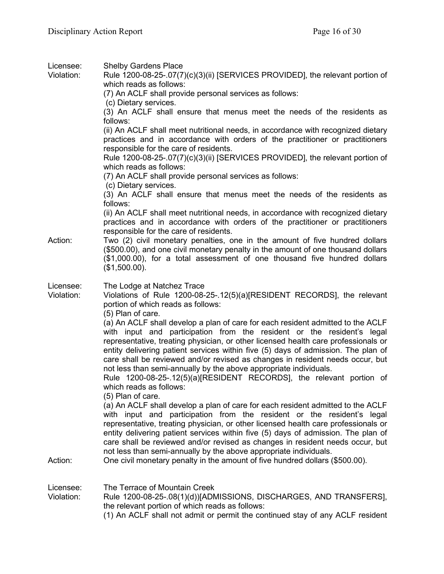| Licensee:<br>Violation: | <b>Shelby Gardens Place</b><br>Rule 1200-08-25-.07(7)(c)(3)(ii) [SERVICES PROVIDED], the relevant portion of<br>which reads as follows:<br>(7) An ACLF shall provide personal services as follows:<br>(c) Dietary services.<br>(3) An ACLF shall ensure that menus meet the needs of the residents as<br>follows:<br>(ii) An ACLF shall meet nutritional needs, in accordance with recognized dietary<br>practices and in accordance with orders of the practitioner or practitioners<br>responsible for the care of residents.<br>Rule 1200-08-25-.07(7)(c)(3)(ii) [SERVICES PROVIDED], the relevant portion of<br>which reads as follows:<br>(7) An ACLF shall provide personal services as follows:<br>(c) Dietary services.<br>(3) An ACLF shall ensure that menus meet the needs of the residents as<br>follows:<br>(ii) An ACLF shall meet nutritional needs, in accordance with recognized dietary                                           |
|-------------------------|-----------------------------------------------------------------------------------------------------------------------------------------------------------------------------------------------------------------------------------------------------------------------------------------------------------------------------------------------------------------------------------------------------------------------------------------------------------------------------------------------------------------------------------------------------------------------------------------------------------------------------------------------------------------------------------------------------------------------------------------------------------------------------------------------------------------------------------------------------------------------------------------------------------------------------------------------------|
|                         | practices and in accordance with orders of the practitioner or practitioners<br>responsible for the care of residents.                                                                                                                                                                                                                                                                                                                                                                                                                                                                                                                                                                                                                                                                                                                                                                                                                              |
| Action:                 | Two (2) civil monetary penalties, one in the amount of five hundred dollars<br>(\$500.00), and one civil monetary penalty in the amount of one thousand dollars<br>(\$1,000.00), for a total assessment of one thousand five hundred dollars<br>(\$1,500.00).                                                                                                                                                                                                                                                                                                                                                                                                                                                                                                                                                                                                                                                                                       |
| Licensee:<br>Violation: | The Lodge at Natchez Trace<br>Violations of Rule 1200-08-25-.12(5)(a)[RESIDENT RECORDS], the relevant<br>portion of which reads as follows:<br>(5) Plan of care.<br>(a) An ACLF shall develop a plan of care for each resident admitted to the ACLF<br>with input and participation from the resident or the resident's legal<br>representative, treating physician, or other licensed health care professionals or<br>entity delivering patient services within five (5) days of admission. The plan of<br>care shall be reviewed and/or revised as changes in resident needs occur, but<br>not less than semi-annually by the above appropriate individuals.<br>Rule 1200-08-25-.12(5)(a)[RESIDENT RECORDS], the relevant portion of<br>which reads as follows:<br>(5) Plan of care.<br>(a) An ACLF shall develop a plan of care for each resident admitted to the ACLF<br>with input and participation from the resident or the resident's legal |
| Action:                 | representative, treating physician, or other licensed health care professionals or<br>entity delivering patient services within five (5) days of admission. The plan of<br>care shall be reviewed and/or revised as changes in resident needs occur, but<br>not less than semi-annually by the above appropriate individuals.<br>One civil monetary penalty in the amount of five hundred dollars (\$500.00).                                                                                                                                                                                                                                                                                                                                                                                                                                                                                                                                       |
|                         |                                                                                                                                                                                                                                                                                                                                                                                                                                                                                                                                                                                                                                                                                                                                                                                                                                                                                                                                                     |
| Licensee:<br>Violation: | The Terrace of Mountain Creek<br>Rule 1200-08-25-.08(1)(d))[ADMISSIONS, DISCHARGES, AND TRANSFERS],<br>the relevant portion of which reads as follows:<br>(1) An ACLF shall not admit or permit the continued stay of any ACLF resident                                                                                                                                                                                                                                                                                                                                                                                                                                                                                                                                                                                                                                                                                                             |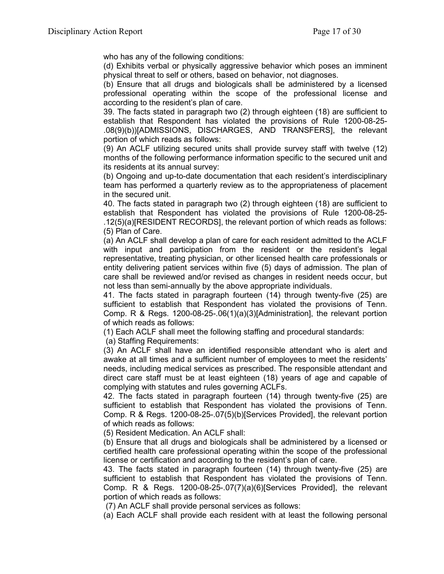who has any of the following conditions:

(d) Exhibits verbal or physically aggressive behavior which poses an imminent physical threat to self or others, based on behavior, not diagnoses.

(b) Ensure that all drugs and biologicals shall be administered by a licensed professional operating within the scope of the professional license and according to the resident's plan of care.

39. The facts stated in paragraph two (2) through eighteen (18) are sufficient to establish that Respondent has violated the provisions of Rule 1200-08-25- .08(9)(b))[ADMISSIONS, DISCHARGES, AND TRANSFERS], the relevant portion of which reads as follows:

(9) An ACLF utilizing secured units shall provide survey staff with twelve (12) months of the following performance information specific to the secured unit and its residents at its annual survey:

(b) Ongoing and up-to-date documentation that each resident's interdisciplinary team has performed a quarterly review as to the appropriateness of placement in the secured unit.

40. The facts stated in paragraph two (2) through eighteen (18) are sufficient to establish that Respondent has violated the provisions of Rule 1200-08-25- .12(5)(a)[RESIDENT RECORDS], the relevant portion of which reads as follows: (5) Plan of Care.

(a) An ACLF shall develop a plan of care for each resident admitted to the ACLF with input and participation from the resident or the resident's legal representative, treating physician, or other licensed health care professionals or entity delivering patient services within five (5) days of admission. The plan of care shall be reviewed and/or revised as changes in resident needs occur, but not less than semi-annually by the above appropriate individuals.

41. The facts stated in paragraph fourteen (14) through twenty-five (25) are sufficient to establish that Respondent has violated the provisions of Tenn. Comp. R & Regs. 1200-08-25-.06(1)(a)(3)[Administration], the relevant portion of which reads as follows:

(1) Each ACLF shall meet the following staffing and procedural standards:

(a) Staffing Requirements:

(3) An ACLF shall have an identified responsible attendant who is alert and awake at all times and a sufficient number of employees to meet the residents' needs, including medical services as prescribed. The responsible attendant and direct care staff must be at least eighteen (18) years of age and capable of complying with statutes and rules governing ACLFs.

42. The facts stated in paragraph fourteen (14) through twenty-five (25) are sufficient to establish that Respondent has violated the provisions of Tenn. Comp. R & Regs. 1200-08-25-.07(5)(b)[Services Provided], the relevant portion of which reads as follows:

(5) Resident Medication. An ACLF shall:

(b) Ensure that all drugs and biologicals shall be administered by a licensed or certified health care professional operating within the scope of the professional license or certification and according to the resident's plan of care.

43. The facts stated in paragraph fourteen (14) through twenty-five (25) are sufficient to establish that Respondent has violated the provisions of Tenn. Comp. R & Regs. 1200-08-25-.07(7)(a)(6)[Services Provided], the relevant portion of which reads as follows:

(7) An ACLF shall provide personal services as follows:

(a) Each ACLF shall provide each resident with at least the following personal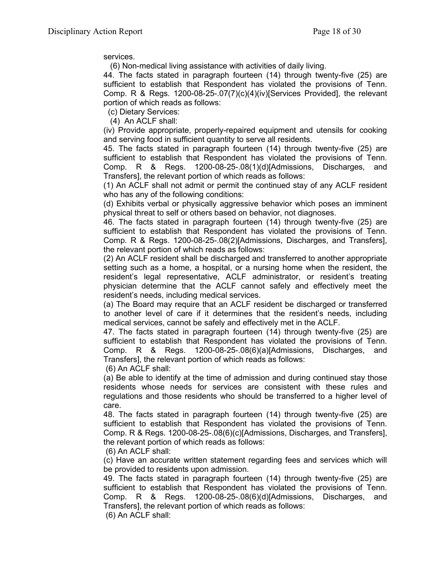services.

(6) Non-medical living assistance with activities of daily living.

44. The facts stated in paragraph fourteen (14) through twenty-five (25) are sufficient to establish that Respondent has violated the provisions of Tenn. Comp. R & Regs. 1200-08-25-.07(7)(c)(4)(iv)[Services Provided], the relevant portion of which reads as follows:

(c) Dietary Services:

(4) An ACLF shall:

(iv) Provide appropriate, properly-repaired equipment and utensils for cooking and serving food in sufficient quantity to serve all residents.

45. The facts stated in paragraph fourteen (14) through twenty-five (25) are sufficient to establish that Respondent has violated the provisions of Tenn. Comp. R & Regs. 1200-08-25-.08(1)(d)[Admissions, Discharges, and Transfers], the relevant portion of which reads as follows:

(1) An ACLF shall not admit or permit the continued stay of any ACLF resident who has any of the following conditions:

(d) Exhibits verbal or physically aggressive behavior which poses an imminent physical threat to self or others based on behavior, not diagnoses.

46. The facts stated in paragraph fourteen (14) through twenty-five (25) are sufficient to establish that Respondent has violated the provisions of Tenn. Comp. R & Regs. 1200-08-25-.08(2)[Admissions, Discharges, and Transfers], the relevant portion of which reads as follows:

(2) An ACLF resident shall be discharged and transferred to another appropriate setting such as a home, a hospital, or a nursing home when the resident, the resident's legal representative, ACLF administrator, or resident's treating physician determine that the ACLF cannot safely and effectively meet the resident's needs, including medical services.

(a) The Board may require that an ACLF resident be discharged or transferred to another level of care if it determines that the resident's needs, including medical services, cannot be safely and effectively met in the ACLF.

47. The facts stated in paragraph fourteen (14) through twenty-five (25) are sufficient to establish that Respondent has violated the provisions of Tenn. Comp. R & Regs. 1200-08-25-.08(6)(a)[Admissions, Discharges, and Transfers], the relevant portion of which reads as follows:

(6) An ACLF shall:

(a) Be able to identify at the time of admission and during continued stay those residents whose needs for services are consistent with these rules and regulations and those residents who should be transferred to a higher level of care.

48. The facts stated in paragraph fourteen (14) through twenty-five (25) are sufficient to establish that Respondent has violated the provisions of Tenn. Comp. R & Regs. 1200-08-25-.08(6)(c)[Admissions, Discharges, and Transfers], the relevant portion of which reads as follows:

(6) An ACLF shall:

(c) Have an accurate written statement regarding fees and services which will be provided to residents upon admission.

49. The facts stated in paragraph fourteen (14) through twenty-five (25) are sufficient to establish that Respondent has violated the provisions of Tenn. Comp. R & Regs. 1200-08-25-.08(6)(d)[Admissions, Discharges, and Transfers], the relevant portion of which reads as follows:

(6) An ACLF shall: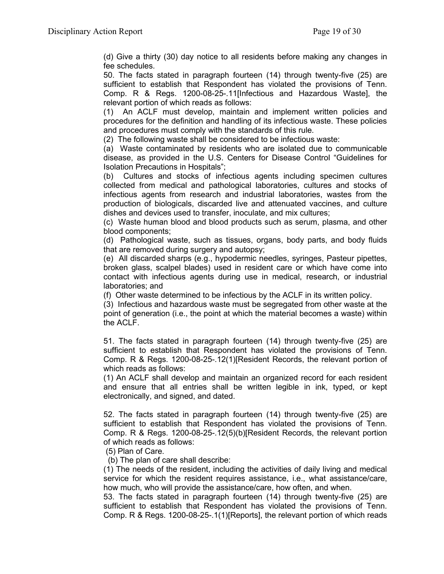(d) Give a thirty (30) day notice to all residents before making any changes in fee schedules.

50. The facts stated in paragraph fourteen (14) through twenty-five (25) are sufficient to establish that Respondent has violated the provisions of Tenn. Comp. R & Regs. 1200-08-25-.11[Infectious and Hazardous Waste], the relevant portion of which reads as follows:

(1) An ACLF must develop, maintain and implement written policies and procedures for the definition and handling of its infectious waste. These policies and procedures must comply with the standards of this rule.

(2) The following waste shall be considered to be infectious waste:

(a) Waste contaminated by residents who are isolated due to communicable disease, as provided in the U.S. Centers for Disease Control "Guidelines for Isolation Precautions in Hospitals";

(b) Cultures and stocks of infectious agents including specimen cultures collected from medical and pathological laboratories, cultures and stocks of infectious agents from research and industrial laboratories, wastes from the production of biologicals, discarded live and attenuated vaccines, and culture dishes and devices used to transfer, inoculate, and mix cultures;

(c) Waste human blood and blood products such as serum, plasma, and other blood components;

(d) Pathological waste, such as tissues, organs, body parts, and body fluids that are removed during surgery and autopsy;

(e) All discarded sharps (e.g., hypodermic needles, syringes, Pasteur pipettes, broken glass, scalpel blades) used in resident care or which have come into contact with infectious agents during use in medical, research, or industrial laboratories; and

(f) Other waste determined to be infectious by the ACLF in its written policy.

(3) Infectious and hazardous waste must be segregated from other waste at the point of generation (i.e., the point at which the material becomes a waste) within the ACLF.

51. The facts stated in paragraph fourteen (14) through twenty-five (25) are sufficient to establish that Respondent has violated the provisions of Tenn. Comp. R & Regs. 1200-08-25-.12(1)[Resident Records, the relevant portion of which reads as follows:

(1) An ACLF shall develop and maintain an organized record for each resident and ensure that all entries shall be written legible in ink, typed, or kept electronically, and signed, and dated.

52. The facts stated in paragraph fourteen (14) through twenty-five (25) are sufficient to establish that Respondent has violated the provisions of Tenn. Comp. R & Regs. 1200-08-25-.12(5)(b)[Resident Records, the relevant portion of which reads as follows:

(5) Plan of Care.

(b) The plan of care shall describe:

(1) The needs of the resident, including the activities of daily living and medical service for which the resident requires assistance, i.e., what assistance/care, how much, who will provide the assistance/care, how often, and when.

53. The facts stated in paragraph fourteen (14) through twenty-five (25) are sufficient to establish that Respondent has violated the provisions of Tenn. Comp. R & Regs. 1200-08-25-.1(1)[Reports], the relevant portion of which reads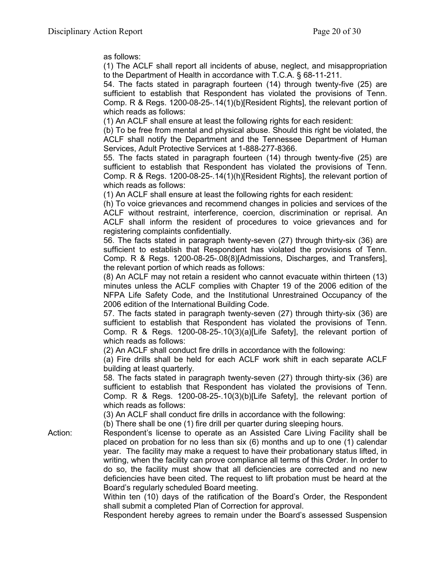as follows:

(1) The ACLF shall report all incidents of abuse, neglect, and misappropriation to the Department of Health in accordance with T.C.A. § 68-11-211.

54. The facts stated in paragraph fourteen (14) through twenty-five (25) are sufficient to establish that Respondent has violated the provisions of Tenn. Comp. R & Regs. 1200-08-25-.14(1)(b)[Resident Rights], the relevant portion of which reads as follows:

(1) An ACLF shall ensure at least the following rights for each resident:

(b) To be free from mental and physical abuse. Should this right be violated, the ACLF shall notify the Department and the Tennessee Department of Human Services, Adult Protective Services at 1-888-277-8366.

55. The facts stated in paragraph fourteen (14) through twenty-five (25) are sufficient to establish that Respondent has violated the provisions of Tenn. Comp. R & Regs. 1200-08-25-.14(1)(h)[Resident Rights], the relevant portion of which reads as follows:

(1) An ACLF shall ensure at least the following rights for each resident:

(h) To voice grievances and recommend changes in policies and services of the ACLF without restraint, interference, coercion, discrimination or reprisal. An ACLF shall inform the resident of procedures to voice grievances and for registering complaints confidentially.

56. The facts stated in paragraph twenty-seven (27) through thirty-six (36) are sufficient to establish that Respondent has violated the provisions of Tenn. Comp. R & Regs. 1200-08-25-.08(8)[Admissions, Discharges, and Transfers], the relevant portion of which reads as follows:

(8) An ACLF may not retain a resident who cannot evacuate within thirteen (13) minutes unless the ACLF complies with Chapter 19 of the 2006 edition of the NFPA Life Safety Code, and the Institutional Unrestrained Occupancy of the 2006 edition of the International Building Code.

57. The facts stated in paragraph twenty-seven (27) through thirty-six (36) are sufficient to establish that Respondent has violated the provisions of Tenn. Comp. R & Regs. 1200-08-25-.10(3)(a)[Life Safety], the relevant portion of which reads as follows:

(2) An ACLF shall conduct fire drills in accordance with the following:

(a) Fire drills shall be held for each ACLF work shift in each separate ACLF building at least quarterly.

58. The facts stated in paragraph twenty-seven (27) through thirty-six (36) are sufficient to establish that Respondent has violated the provisions of Tenn. Comp. R & Regs. 1200-08-25-.10(3)(b)[Life Safety], the relevant portion of which reads as follows:

(3) An ACLF shall conduct fire drills in accordance with the following:

(b) There shall be one (1) fire drill per quarter during sleeping hours.

Action: Respondent's license to operate as an Assisted Care Living Facility shall be placed on probation for no less than six (6) months and up to one (1) calendar year. The facility may make a request to have their probationary status lifted, in writing, when the facility can prove compliance all terms of this Order. In order to do so, the facility must show that all deficiencies are corrected and no new deficiencies have been cited. The request to lift probation must be heard at the Board's regularly scheduled Board meeting.

Within ten (10) days of the ratification of the Board's Order, the Respondent shall submit a completed Plan of Correction for approval.

Respondent hereby agrees to remain under the Board's assessed Suspension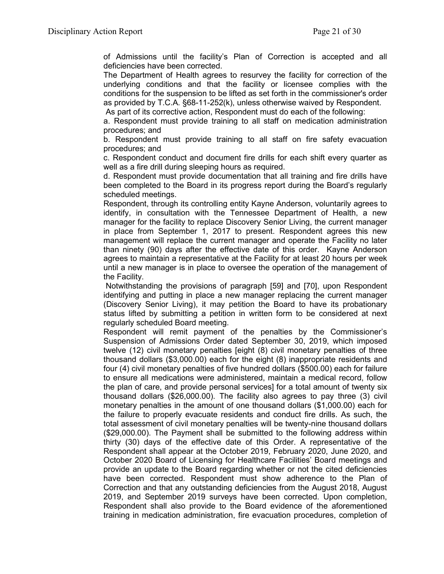of Admissions until the facility's Plan of Correction is accepted and all deficiencies have been corrected.

The Department of Health agrees to resurvey the facility for correction of the underlying conditions and that the facility or licensee complies with the conditions for the suspension to be lifted as set forth in the commissioner's order as provided by T.C.A. §68-11-252(k), unless otherwise waived by Respondent.

As part of its corrective action, Respondent must do each of the following:

a. Respondent must provide training to all staff on medication administration procedures; and

b. Respondent must provide training to all staff on fire safety evacuation procedures; and

c. Respondent conduct and document fire drills for each shift every quarter as well as a fire drill during sleeping hours as required.

d. Respondent must provide documentation that all training and fire drills have been completed to the Board in its progress report during the Board's regularly scheduled meetings.

Respondent, through its controlling entity Kayne Anderson, voluntarily agrees to identify, in consultation with the Tennessee Department of Health, a new manager for the facility to replace Discovery Senior Living, the current manager in place from September 1, 2017 to present. Respondent agrees this new management will replace the current manager and operate the Facility no later than ninety (90) days after the effective date of this order. Kayne Anderson agrees to maintain a representative at the Facility for at least 20 hours per week until a new manager is in place to oversee the operation of the management of the Facility.

Notwithstanding the provisions of paragraph [59] and [70], upon Respondent identifying and putting in place a new manager replacing the current manager (Discovery Senior Living), it may petition the Board to have its probationary status lifted by submitting a petition in written form to be considered at next regularly scheduled Board meeting.

Respondent will remit payment of the penalties by the Commissioner's Suspension of Admissions Order dated September 30, 2019, which imposed twelve (12) civil monetary penalties [eight (8) civil monetary penalties of three thousand dollars (\$3,000.00) each for the eight (8) inappropriate residents and four (4) civil monetary penalties of five hundred dollars (\$500.00) each for failure to ensure all medications were administered, maintain a medical record, follow the plan of care, and provide personal services] for a total amount of twenty six thousand dollars (\$26,000.00). The facility also agrees to pay three (3) civil monetary penalties in the amount of one thousand dollars (\$1,000.00) each for the failure to properly evacuate residents and conduct fire drills. As such, the total assessment of civil monetary penalties will be twenty-nine thousand dollars (\$29,000.00). The Payment shall be submitted to the following address within thirty (30) days of the effective date of this Order. A representative of the Respondent shall appear at the October 2019, February 2020, June 2020, and October 2020 Board of Licensing for Healthcare Facilities' Board meetings and provide an update to the Board regarding whether or not the cited deficiencies have been corrected. Respondent must show adherence to the Plan of Correction and that any outstanding deficiencies from the August 2018, August 2019, and September 2019 surveys have been corrected. Upon completion, Respondent shall also provide to the Board evidence of the aforementioned training in medication administration, fire evacuation procedures, completion of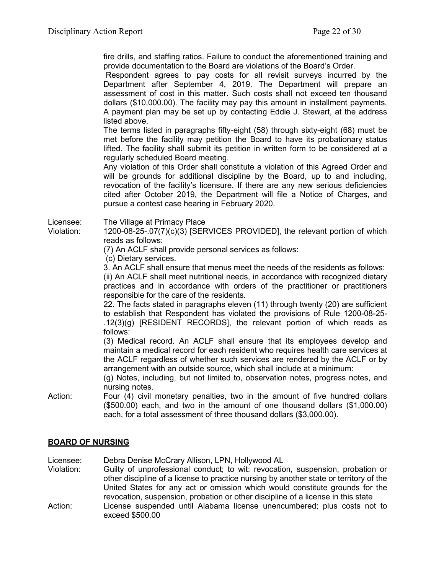fire drills, and staffing ratios. Failure to conduct the aforementioned training and provide documentation to the Board are violations of the Board's Order.

Respondent agrees to pay costs for all revisit surveys incurred by the Department after September 4, 2019. The Department will prepare an assessment of cost in this matter. Such costs shall not exceed ten thousand dollars (\$10,000.00). The facility may pay this amount in installment payments. A payment plan may be set up by contacting Eddie J. Stewart, at the address listed above.

The terms listed in paragraphs fifty-eight (58) through sixty-eight (68) must be met before the facility may petition the Board to have its probationary status lifted. The facility shall submit its petition in written form to be considered at a regularly scheduled Board meeting.

Any violation of this Order shall constitute a violation of this Agreed Order and will be grounds for additional discipline by the Board, up to and including, revocation of the facility's licensure. If there are any new serious deficiencies cited after October 2019, the Department will file a Notice of Charges, and pursue a contest case hearing in February 2020.

Licensee: The Village at Primacy Place

Violation: 1200-08-25-.07(7)(c)(3) [SERVICES PROVIDED], the relevant portion of which reads as follows:

(7) An ACLF shall provide personal services as follows:

(c) Dietary services.

3. An ACLF shall ensure that menus meet the needs of the residents as follows: (ii) An ACLF shall meet nutritional needs, in accordance with recognized dietary practices and in accordance with orders of the practitioner or practitioners responsible for the care of the residents.

22. The facts stated in paragraphs eleven (11) through twenty (20) are sufficient to establish that Respondent has violated the provisions of Rule 1200-08-25- .12(3)(g) [RESIDENT RECORDS], the relevant portion of which reads as follows:

(3) Medical record. An ACLF shall ensure that its employees develop and maintain a medical record for each resident who requires health care services at the ACLF regardless of whether such services are rendered by the ACLF or by arrangement with an outside source, which shall include at a minimum:

(g) Notes, including, but not limited to, observation notes, progress notes, and nursing notes.

Action: Four (4) civil monetary penalties, two in the amount of five hundred dollars (\$500.00) each, and two in the amount of one thousand dollars (\$1,000.00) each, for a total assessment of three thousand dollars (\$3,000.00).

# **BOARD OF NURSING**

Licensee: Debra Denise McCrary Allison, LPN, Hollywood AL

Violation: Guilty of unprofessional conduct; to wit: revocation, suspension, probation or other discipline of a license to practice nursing by another state or territory of the United States for any act or omission which would constitute grounds for the revocation, suspension, probation or other discipline of a license in this state Action: License suspended until Alabama license unencumbered; plus costs not to exceed \$500.00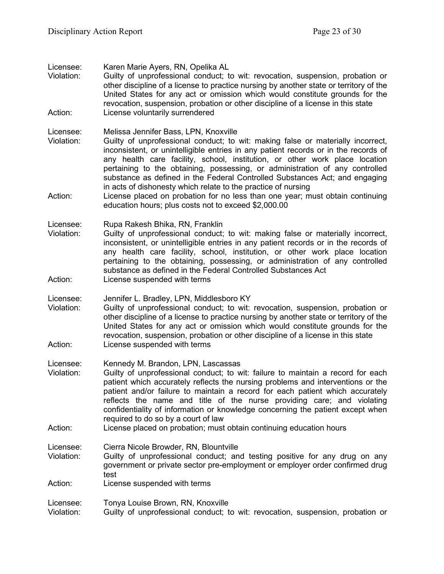Licensee: Karen Marie Ayers, RN, Opelika AL

Violation: Guilty of unprofessional conduct; to wit: revocation, suspension, probation or other discipline of a license to practice nursing by another state or territory of the United States for any act or omission which would constitute grounds for the revocation, suspension, probation or other discipline of a license in this state Action: License voluntarily surrendered

Licensee: Melissa Jennifer Bass, LPN, Knoxville

- Violation: Guilty of unprofessional conduct; to wit: making false or materially incorrect, inconsistent, or unintelligible entries in any patient records or in the records of any health care facility, school, institution, or other work place location pertaining to the obtaining, possessing, or administration of any controlled substance as defined in the Federal Controlled Substances Act; and engaging in acts of dishonesty which relate to the practice of nursing
- Action: License placed on probation for no less than one year; must obtain continuing education hours; plus costs not to exceed \$2,000.00

Licensee: Rupa Rakesh Bhika, RN, Franklin<br>Violation: Guilty of unprofessional conduct;

- Guilty of unprofessional conduct; to wit: making false or materially incorrect, inconsistent, or unintelligible entries in any patient records or in the records of any health care facility, school, institution, or other work place location pertaining to the obtaining, possessing, or administration of any controlled substance as defined in the Federal Controlled Substances Act
- Action: License suspended with terms

Licensee: Jennifer L. Bradley, LPN, Middlesboro KY

Violation: Guilty of unprofessional conduct; to wit: revocation, suspension, probation or other discipline of a license to practice nursing by another state or territory of the United States for any act or omission which would constitute grounds for the revocation, suspension, probation or other discipline of a license in this state Action: License suspended with terms

Licensee: Kennedy M. Brandon, LPN, Lascassas

- Violation: Guilty of unprofessional conduct; to wit: failure to maintain a record for each patient which accurately reflects the nursing problems and interventions or the patient and/or failure to maintain a record for each patient which accurately reflects the name and title of the nurse providing care; and violating confidentiality of information or knowledge concerning the patient except when required to do so by a court of law
- Action: License placed on probation; must obtain continuing education hours

Licensee: Cierra Nicole Browder, RN, Blountville

Violation: Guilty of unprofessional conduct; and testing positive for any drug on any government or private sector pre-employment or employer order confirmed drug test

Action: License suspended with terms

Licensee: Tonya Louise Brown, RN, Knoxville

Violation: Guilty of unprofessional conduct; to wit: revocation, suspension, probation or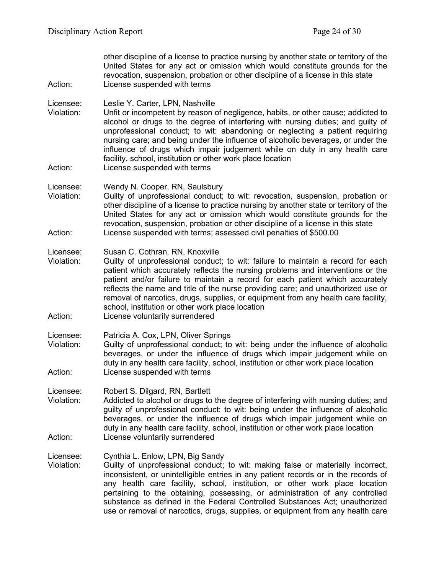| Action:                            | other discipline of a license to practice nursing by another state or territory of the<br>United States for any act or omission which would constitute grounds for the<br>revocation, suspension, probation or other discipline of a license in this state<br>License suspended with terms                                                                                                                                                                                                                                                                |
|------------------------------------|-----------------------------------------------------------------------------------------------------------------------------------------------------------------------------------------------------------------------------------------------------------------------------------------------------------------------------------------------------------------------------------------------------------------------------------------------------------------------------------------------------------------------------------------------------------|
| Licensee:<br>Violation:<br>Action: | Leslie Y. Carter, LPN, Nashville<br>Unfit or incompetent by reason of negligence, habits, or other cause; addicted to<br>alcohol or drugs to the degree of interfering with nursing duties; and guilty of<br>unprofessional conduct; to wit: abandoning or neglecting a patient requiring<br>nursing care; and being under the influence of alcoholic beverages, or under the<br>influence of drugs which impair judgement while on duty in any health care<br>facility, school, institution or other work place location<br>License suspended with terms |
|                                    |                                                                                                                                                                                                                                                                                                                                                                                                                                                                                                                                                           |
| Licensee:<br>Violation:<br>Action: | Wendy N. Cooper, RN, Saulsbury<br>Guilty of unprofessional conduct; to wit: revocation, suspension, probation or<br>other discipline of a license to practice nursing by another state or territory of the<br>United States for any act or omission which would constitute grounds for the<br>revocation, suspension, probation or other discipline of a license in this state<br>License suspended with terms; assessed civil penalties of \$500.00                                                                                                      |
|                                    |                                                                                                                                                                                                                                                                                                                                                                                                                                                                                                                                                           |
| Licensee:<br>Violation:<br>Action: | Susan C. Cothran, RN, Knoxville<br>Guilty of unprofessional conduct; to wit: failure to maintain a record for each<br>patient which accurately reflects the nursing problems and interventions or the<br>patient and/or failure to maintain a record for each patient which accurately<br>reflects the name and title of the nurse providing care; and unauthorized use or<br>removal of narcotics, drugs, supplies, or equipment from any health care facility,<br>school, institution or other work place location<br>License voluntarily surrendered   |
|                                    |                                                                                                                                                                                                                                                                                                                                                                                                                                                                                                                                                           |
| Licensee:<br>Violation:            | Patricia A. Cox, LPN, Oliver Springs<br>Guilty of unprofessional conduct; to wit: being under the influence of alcoholic<br>beverages, or under the influence of drugs which impair judgement while on<br>duty in any health care facility, school, institution or other work place location                                                                                                                                                                                                                                                              |
| Action:                            | License suspended with terms                                                                                                                                                                                                                                                                                                                                                                                                                                                                                                                              |
| Licensee:<br>Violation:            | Robert S. Dilgard, RN, Bartlett<br>Addicted to alcohol or drugs to the degree of interfering with nursing duties; and<br>guilty of unprofessional conduct; to wit: being under the influence of alcoholic<br>beverages, or under the influence of drugs which impair judgement while on<br>duty in any health care facility, school, institution or other work place location                                                                                                                                                                             |
| Action:                            | License voluntarily surrendered                                                                                                                                                                                                                                                                                                                                                                                                                                                                                                                           |
| Licensee:<br>Violation:            | Cynthia L. Enlow, LPN, Big Sandy<br>Guilty of unprofessional conduct; to wit: making false or materially incorrect,<br>inconsistent, or unintelligible entries in any patient records or in the records of<br>any health care facility, school, institution, or other work place location<br>pertaining to the obtaining, possessing, or administration of any controlled<br>substance as defined in the Federal Controlled Substances Act; unauthorized                                                                                                  |

use or removal of narcotics, drugs, supplies, or equipment from any health care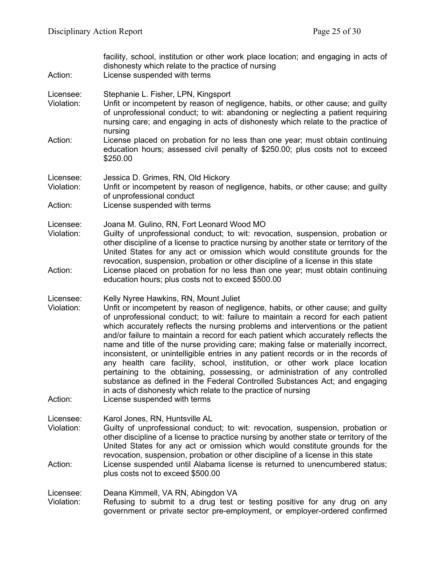| Action:                            | facility, school, institution or other work place location; and engaging in acts of<br>dishonesty which relate to the practice of nursing<br>License suspended with terms                                                                                                                                                                                                                                                                                                                                                                                                                                                                                                                                                                                                                                                                                                                                         |  |
|------------------------------------|-------------------------------------------------------------------------------------------------------------------------------------------------------------------------------------------------------------------------------------------------------------------------------------------------------------------------------------------------------------------------------------------------------------------------------------------------------------------------------------------------------------------------------------------------------------------------------------------------------------------------------------------------------------------------------------------------------------------------------------------------------------------------------------------------------------------------------------------------------------------------------------------------------------------|--|
| Licensee:<br>Violation:            | Stephanie L. Fisher, LPN, Kingsport<br>Unfit or incompetent by reason of negligence, habits, or other cause; and guilty<br>of unprofessional conduct; to wit: abandoning or neglecting a patient requiring<br>nursing care; and engaging in acts of dishonesty which relate to the practice of<br>nursing                                                                                                                                                                                                                                                                                                                                                                                                                                                                                                                                                                                                         |  |
| Action:                            | License placed on probation for no less than one year; must obtain continuing<br>education hours; assessed civil penalty of \$250.00; plus costs not to exceed<br>\$250.00                                                                                                                                                                                                                                                                                                                                                                                                                                                                                                                                                                                                                                                                                                                                        |  |
| Licensee:<br>Violation:            | Jessica D. Grimes, RN, Old Hickory<br>Unfit or incompetent by reason of negligence, habits, or other cause; and guilty<br>of unprofessional conduct                                                                                                                                                                                                                                                                                                                                                                                                                                                                                                                                                                                                                                                                                                                                                               |  |
| Action:                            | License suspended with terms                                                                                                                                                                                                                                                                                                                                                                                                                                                                                                                                                                                                                                                                                                                                                                                                                                                                                      |  |
| Licensee:<br>Violation:            | Joana M. Gulino, RN, Fort Leonard Wood MO<br>Guilty of unprofessional conduct; to wit: revocation, suspension, probation or<br>other discipline of a license to practice nursing by another state or territory of the<br>United States for any act or omission which would constitute grounds for the                                                                                                                                                                                                                                                                                                                                                                                                                                                                                                                                                                                                             |  |
| Action:                            | revocation, suspension, probation or other discipline of a license in this state<br>License placed on probation for no less than one year; must obtain continuing<br>education hours; plus costs not to exceed \$500.00                                                                                                                                                                                                                                                                                                                                                                                                                                                                                                                                                                                                                                                                                           |  |
| Licensee:<br>Violation:<br>Action: | Kelly Nyree Hawkins, RN, Mount Juliet<br>Unfit or incompetent by reason of negligence, habits, or other cause; and guilty<br>of unprofessional conduct; to wit: failure to maintain a record for each patient<br>which accurately reflects the nursing problems and interventions or the patient<br>and/or failure to maintain a record for each patient which accurately reflects the<br>name and title of the nurse providing care; making false or materially incorrect,<br>inconsistent, or unintelligible entries in any patient records or in the records of<br>any health care facility, school, institution, or other work place location<br>pertaining to the obtaining, possessing, or administration of any controlled<br>substance as defined in the Federal Controlled Substances Act; and engaging<br>in acts of dishonesty which relate to the practice of nursing<br>License suspended with terms |  |
| Licensee:                          | Karol Jones, RN, Huntsville AL                                                                                                                                                                                                                                                                                                                                                                                                                                                                                                                                                                                                                                                                                                                                                                                                                                                                                    |  |
| Violation:                         | Guilty of unprofessional conduct; to wit: revocation, suspension, probation or<br>other discipline of a license to practice nursing by another state or territory of the<br>United States for any act or omission which would constitute grounds for the<br>revocation, suspension, probation or other discipline of a license in this state                                                                                                                                                                                                                                                                                                                                                                                                                                                                                                                                                                      |  |
| Action:                            | License suspended until Alabama license is returned to unencumbered status;<br>plus costs not to exceed \$500.00                                                                                                                                                                                                                                                                                                                                                                                                                                                                                                                                                                                                                                                                                                                                                                                                  |  |
| Licensee:<br>Violation:            | Deana Kimmell, VA RN, Abingdon VA<br>Refusing to submit to a drug test or testing positive for any drug on any<br>government or private sector pre-employment, or employer-ordered confirmed                                                                                                                                                                                                                                                                                                                                                                                                                                                                                                                                                                                                                                                                                                                      |  |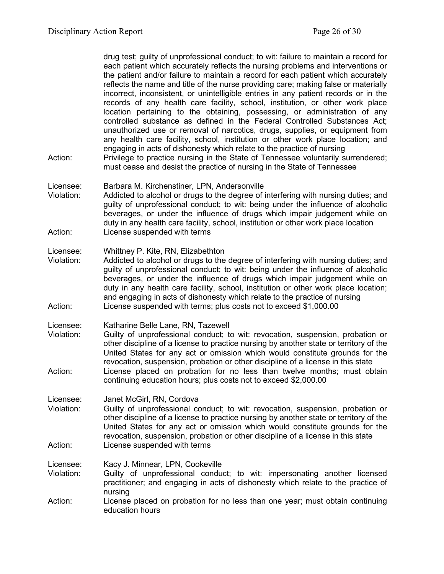drug test; guilty of unprofessional conduct; to wit: failure to maintain a record for each patient which accurately reflects the nursing problems and interventions or the patient and/or failure to maintain a record for each patient which accurately reflects the name and title of the nurse providing care; making false or materially incorrect, inconsistent, or unintelligible entries in any patient records or in the records of any health care facility, school, institution, or other work place location pertaining to the obtaining, possessing, or administration of any controlled substance as defined in the Federal Controlled Substances Act; unauthorized use or removal of narcotics, drugs, supplies, or equipment from any health care facility, school, institution or other work place location; and engaging in acts of dishonesty which relate to the practice of nursing

- Action: Privilege to practice nursing in the State of Tennessee voluntarily surrendered; must cease and desist the practice of nursing in the State of Tennessee
- Licensee: Barbara M. Kirchenstiner, LPN, Andersonville
- Violation: Addicted to alcohol or drugs to the degree of interfering with nursing duties; and guilty of unprofessional conduct; to wit: being under the influence of alcoholic beverages, or under the influence of drugs which impair judgement while on duty in any health care facility, school, institution or other work place location Action: License suspended with terms

#### Licensee: Whittney P. Kite, RN, Elizabethton

- Violation: Addicted to alcohol or drugs to the degree of interfering with nursing duties; and guilty of unprofessional conduct; to wit: being under the influence of alcoholic beverages, or under the influence of drugs which impair judgement while on duty in any health care facility, school, institution or other work place location; and engaging in acts of dishonesty which relate to the practice of nursing Action: License suspended with terms; plus costs not to exceed \$1,000.00
- Licensee: Katharine Belle Lane, RN, Tazewell<br>Violation: Guilty of unprofessional conduct: to
- Guilty of unprofessional conduct; to wit: revocation, suspension, probation or other discipline of a license to practice nursing by another state or territory of the United States for any act or omission which would constitute grounds for the revocation, suspension, probation or other discipline of a license in this state Action: License placed on probation for no less than twelve months; must obtain continuing education hours; plus costs not to exceed \$2,000.00

Licensee: Janet McGirl, RN, Cordova

Violation: Guilty of unprofessional conduct; to wit: revocation, suspension, probation or other discipline of a license to practice nursing by another state or territory of the United States for any act or omission which would constitute grounds for the revocation, suspension, probation or other discipline of a license in this state Action: License suspended with terms

Licensee: Kacy J. Minnear, LPN, Cookeville

- Violation: Guilty of unprofessional conduct; to wit: impersonating another licensed practitioner; and engaging in acts of dishonesty which relate to the practice of nursing
- Action: License placed on probation for no less than one year; must obtain continuing education hours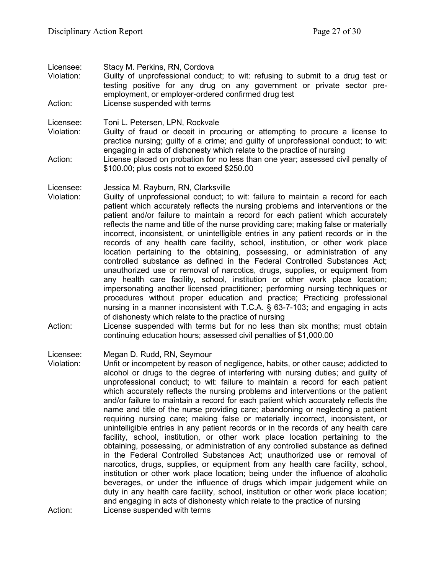| Licensee:<br>Violation:<br>Action: | Stacy M. Perkins, RN, Cordova<br>Guilty of unprofessional conduct; to wit: refusing to submit to a drug test or<br>testing positive for any drug on any government or private sector pre-<br>employment, or employer-ordered confirmed drug test<br>License suspended with terms                                                                                                                                                                                                                                                                                                                                                                                                                                                                                                                                                                                                                                                                                                                                                                                                                                                                                                            |
|------------------------------------|---------------------------------------------------------------------------------------------------------------------------------------------------------------------------------------------------------------------------------------------------------------------------------------------------------------------------------------------------------------------------------------------------------------------------------------------------------------------------------------------------------------------------------------------------------------------------------------------------------------------------------------------------------------------------------------------------------------------------------------------------------------------------------------------------------------------------------------------------------------------------------------------------------------------------------------------------------------------------------------------------------------------------------------------------------------------------------------------------------------------------------------------------------------------------------------------|
| Licensee:<br>Violation:            | Toni L. Petersen, LPN, Rockvale<br>Guilty of fraud or deceit in procuring or attempting to procure a license to<br>practice nursing; guilty of a crime; and guilty of unprofessional conduct; to wit:<br>engaging in acts of dishonesty which relate to the practice of nursing                                                                                                                                                                                                                                                                                                                                                                                                                                                                                                                                                                                                                                                                                                                                                                                                                                                                                                             |
| Action:                            | License placed on probation for no less than one year; assessed civil penalty of<br>\$100.00; plus costs not to exceed \$250.00                                                                                                                                                                                                                                                                                                                                                                                                                                                                                                                                                                                                                                                                                                                                                                                                                                                                                                                                                                                                                                                             |
| Licensee:<br>Violation:            | Jessica M. Rayburn, RN, Clarksville<br>Guilty of unprofessional conduct; to wit: failure to maintain a record for each<br>patient which accurately reflects the nursing problems and interventions or the<br>patient and/or failure to maintain a record for each patient which accurately<br>reflects the name and title of the nurse providing care; making false or materially<br>incorrect, inconsistent, or unintelligible entries in any patient records or in the<br>records of any health care facility, school, institution, or other work place<br>location pertaining to the obtaining, possessing, or administration of any<br>controlled substance as defined in the Federal Controlled Substances Act;<br>unauthorized use or removal of narcotics, drugs, supplies, or equipment from<br>any health care facility, school, institution or other work place location;<br>impersonating another licensed practitioner; performing nursing techniques or<br>procedures without proper education and practice; Practicing professional<br>nursing in a manner inconsistent with T.C.A. § 63-7-103; and engaging in acts<br>of dishonesty which relate to the practice of nursing |

Action: License suspended with terms but for no less than six months; must obtain continuing education hours; assessed civil penalties of \$1,000.00

Licensee: Megan D. Rudd, RN, Seymour

Violation: Unfit or incompetent by reason of negligence, habits, or other cause; addicted to alcohol or drugs to the degree of interfering with nursing duties; and guilty of unprofessional conduct; to wit: failure to maintain a record for each patient which accurately reflects the nursing problems and interventions or the patient and/or failure to maintain a record for each patient which accurately reflects the name and title of the nurse providing care; abandoning or neglecting a patient requiring nursing care; making false or materially incorrect, inconsistent, or unintelligible entries in any patient records or in the records of any health care facility, school, institution, or other work place location pertaining to the obtaining, possessing, or administration of any controlled substance as defined in the Federal Controlled Substances Act; unauthorized use or removal of narcotics, drugs, supplies, or equipment from any health care facility, school, institution or other work place location; being under the influence of alcoholic beverages, or under the influence of drugs which impair judgement while on duty in any health care facility, school, institution or other work place location; and engaging in acts of dishonesty which relate to the practice of nursing Action: License suspended with terms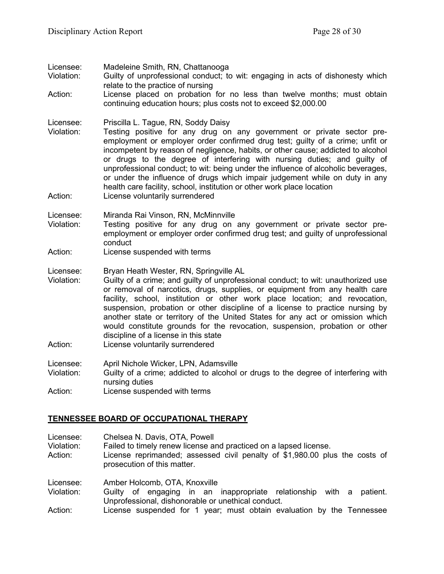Licensee: Madeleine Smith, RN, Chattanooga

- Guilty of unprofessional conduct; to wit: engaging in acts of dishonesty which relate to the practice of nursing
- Action: License placed on probation for no less than twelve months; must obtain continuing education hours; plus costs not to exceed \$2,000.00

Licensee: Priscilla L. Tague, RN, Soddy Daisy

- Testing positive for any drug on any government or private sector preemployment or employer order confirmed drug test; guilty of a crime; unfit or incompetent by reason of negligence, habits, or other cause; addicted to alcohol or drugs to the degree of interfering with nursing duties; and guilty of unprofessional conduct; to wit: being under the influence of alcoholic beverages, or under the influence of drugs which impair judgement while on duty in any health care facility, school, institution or other work place location
- Action: License voluntarily surrendered

Licensee: Miranda Rai Vinson, RN, McMinnville

- Violation: Testing positive for any drug on any government or private sector preemployment or employer order confirmed drug test; and guilty of unprofessional conduct
- Action: License suspended with terms
- Licensee: Bryan Heath Wester, RN, Springville AL
- Violation: Guilty of a crime; and guilty of unprofessional conduct; to wit: unauthorized use or removal of narcotics, drugs, supplies, or equipment from any health care facility, school, institution or other work place location; and revocation, suspension, probation or other discipline of a license to practice nursing by another state or territory of the United States for any act or omission which would constitute grounds for the revocation, suspension, probation or other discipline of a license in this state
- Action: License voluntarily surrendered

Licensee: April Nichole Wicker, LPN, Adamsville Violation: Guilty of a crime; addicted to alcohol or drugs to the degree of interfering with nursing duties Action: License suspended with terms

# **TENNESSEE BOARD OF OCCUPATIONAL THERAPY**

Licensee: Chelsea N. Davis, OTA, Powell

Violation: Failed to timely renew license and practiced on a lapsed license.

Action: License reprimanded; assessed civil penalty of \$1,980.00 plus the costs of prosecution of this matter.

Licensee: Amber Holcomb, OTA, Knoxville<br>Violation: Guilty of engaging in an

- Guilty of engaging in an inappropriate relationship with a patient. Unprofessional, dishonorable or unethical conduct.
- Action: License suspended for 1 year; must obtain evaluation by the Tennessee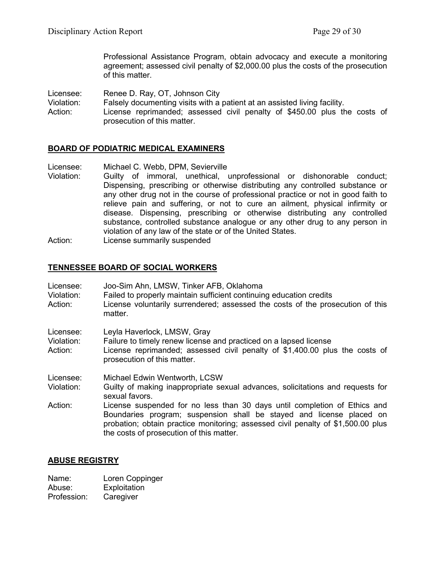Professional Assistance Program, obtain advocacy and execute a monitoring agreement; assessed civil penalty of \$2,000.00 plus the costs of the prosecution of this matter.

Licensee: Renee D. Ray, OT, Johnson City

- Violation: Falsely documenting visits with a patient at an assisted living facility.
- Action: License reprimanded; assessed civil penalty of \$450.00 plus the costs of prosecution of this matter.

### **BOARD OF PODIATRIC MEDICAL EXAMINERS**

Licensee: Michael C. Webb, DPM, Sevierville<br>Violation: Guilty of immoral. unethical.

- Guilty of immoral, unethical, unprofessional or dishonorable conduct; Dispensing, prescribing or otherwise distributing any controlled substance or any other drug not in the course of professional practice or not in good faith to relieve pain and suffering, or not to cure an ailment, physical infirmity or disease. Dispensing, prescribing or otherwise distributing any controlled substance, controlled substance analogue or any other drug to any person in violation of any law of the state or of the United States.
- Action: License summarily suspended

### **TENNESSEE BOARD OF SOCIAL WORKERS**

| Licensee:<br>Violation:<br>Action: | Joo-Sim Ahn, LMSW, Tinker AFB, Oklahoma<br>Failed to properly maintain sufficient continuing education credits<br>License voluntarily surrendered; assessed the costs of the prosecution of this<br>matter.                                                                       |
|------------------------------------|-----------------------------------------------------------------------------------------------------------------------------------------------------------------------------------------------------------------------------------------------------------------------------------|
| Licensee:<br>Violation:<br>Action: | Leyla Haverlock, LMSW, Gray<br>Failure to timely renew license and practiced on a lapsed license<br>License reprimanded; assessed civil penalty of \$1,400.00 plus the costs of<br>prosecution of this matter.                                                                    |
| Licensee:<br>Violation:            | Michael Edwin Wentworth, LCSW<br>Guilty of making inappropriate sexual advances, solicitations and requests for<br>sexual favors.                                                                                                                                                 |
| Action:                            | License suspended for no less than 30 days until completion of Ethics and<br>Boundaries program; suspension shall be stayed and license placed on<br>probation; obtain practice monitoring; assessed civil penalty of \$1,500.00 plus<br>the costs of prosecution of this matter. |

# **ABUSE REGISTRY**

| Name:       | Loren Coppinger |
|-------------|-----------------|
| Abuse:      | Exploitation    |
| Profession: | Caregiver       |